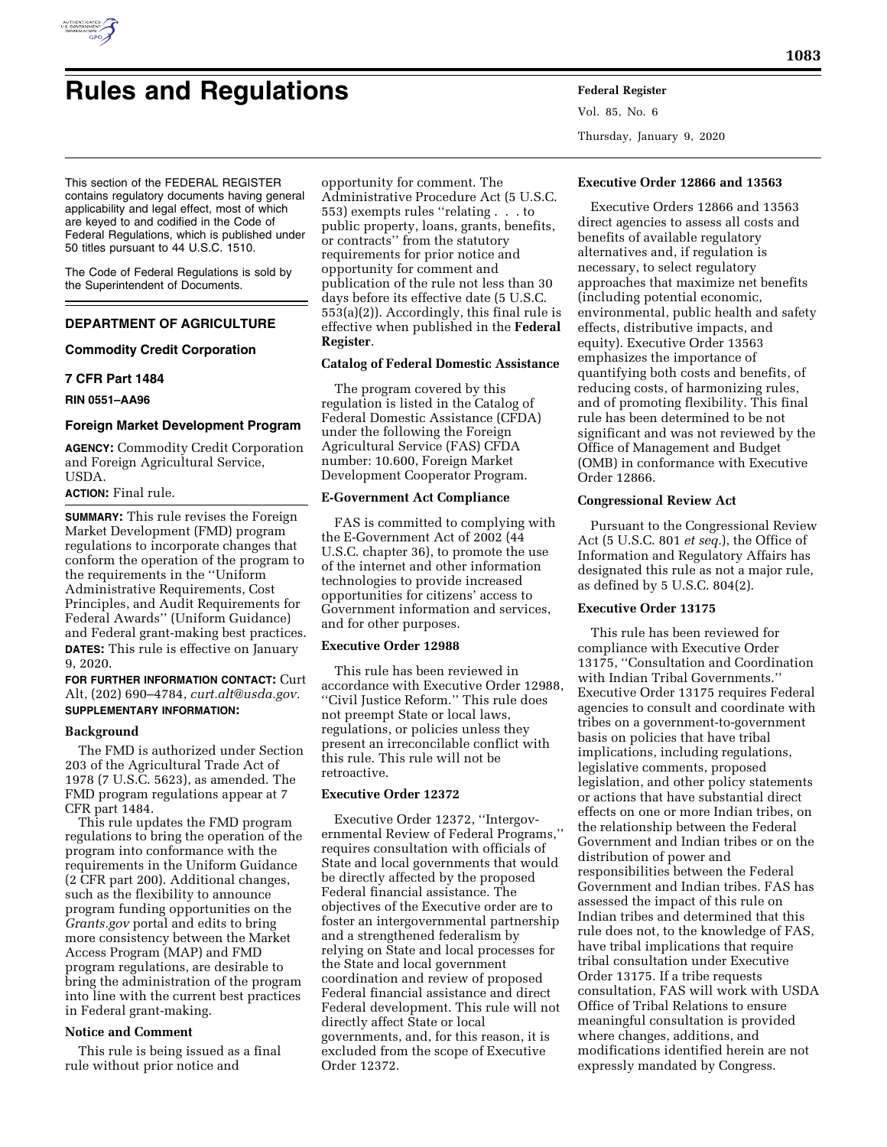

# **Rules and Regulations Federal Register**

This section of the FEDERAL REGISTER contains regulatory documents having general applicability and legal effect, most of which are keyed to and codified in the Code of Federal Regulations, which is published under

The Code of Federal Regulations is sold by the Superintendent of Documents.

## **DEPARTMENT OF AGRICULTURE**

## **Commodity Credit Corporation**

50 titles pursuant to 44 U.S.C. 1510.

#### **7 CFR Part 1484**

**RIN 0551–AA96** 

## **Foreign Market Development Program**

**AGENCY:** Commodity Credit Corporation and Foreign Agricultural Service, USDA.

## **ACTION:** Final rule.

**SUMMARY:** This rule revises the Foreign Market Development (FMD) program regulations to incorporate changes that conform the operation of the program to the requirements in the ''Uniform Administrative Requirements, Cost Principles, and Audit Requirements for Federal Awards'' (Uniform Guidance) and Federal grant-making best practices. **DATES:** This rule is effective on January 9, 2020.

**FOR FURTHER INFORMATION CONTACT:** Curt Alt, (202) 690–4784, *[curt.alt@usda.gov.](mailto:curt.alt@usda.gov)*  **SUPPLEMENTARY INFORMATION:** 

#### **Background**

The FMD is authorized under Section 203 of the Agricultural Trade Act of 1978 (7 U.S.C. 5623), as amended. The FMD program regulations appear at 7 CFR part 1484.

This rule updates the FMD program regulations to bring the operation of the program into conformance with the requirements in the Uniform Guidance (2 CFR part 200). Additional changes, such as the flexibility to announce program funding opportunities on the *Grants.gov* portal and edits to bring more consistency between the Market Access Program (MAP) and FMD program regulations, are desirable to bring the administration of the program into line with the current best practices in Federal grant-making.

## **Notice and Comment**

This rule is being issued as a final rule without prior notice and

opportunity for comment. The Administrative Procedure Act (5 U.S.C. 553) exempts rules ''relating . . . to public property, loans, grants, benefits, or contracts'' from the statutory requirements for prior notice and opportunity for comment and publication of the rule not less than 30 days before its effective date (5 U.S.C. 553(a)(2)). Accordingly, this final rule is effective when published in the **Federal Register**.

## **Catalog of Federal Domestic Assistance**

The program covered by this regulation is listed in the Catalog of Federal Domestic Assistance (CFDA) under the following the Foreign Agricultural Service (FAS) CFDA number: 10.600, Foreign Market Development Cooperator Program.

## **E-Government Act Compliance**

FAS is committed to complying with the E-Government Act of 2002 (44 U.S.C. chapter 36), to promote the use of the internet and other information technologies to provide increased opportunities for citizens' access to Government information and services, and for other purposes.

## **Executive Order 12988**

This rule has been reviewed in accordance with Executive Order 12988, ''Civil Justice Reform.'' This rule does not preempt State or local laws, regulations, or policies unless they present an irreconcilable conflict with this rule. This rule will not be retroactive.

## **Executive Order 12372**

Executive Order 12372, ''Intergovernmental Review of Federal Programs,'' requires consultation with officials of State and local governments that would be directly affected by the proposed Federal financial assistance. The objectives of the Executive order are to foster an intergovernmental partnership and a strengthened federalism by relying on State and local processes for the State and local government coordination and review of proposed Federal financial assistance and direct Federal development. This rule will not directly affect State or local governments, and, for this reason, it is excluded from the scope of Executive Order 12372.

Vol. 85, No. 6 Thursday, January 9, 2020

## **Executive Order 12866 and 13563**

Executive Orders 12866 and 13563 direct agencies to assess all costs and benefits of available regulatory alternatives and, if regulation is necessary, to select regulatory approaches that maximize net benefits (including potential economic, environmental, public health and safety effects, distributive impacts, and equity). Executive Order 13563 emphasizes the importance of quantifying both costs and benefits, of reducing costs, of harmonizing rules, and of promoting flexibility. This final rule has been determined to be not significant and was not reviewed by the Office of Management and Budget (OMB) in conformance with Executive Order 12866.

## **Congressional Review Act**

Pursuant to the Congressional Review Act (5 U.S.C. 801 *et seq.*), the Office of Information and Regulatory Affairs has designated this rule as not a major rule, as defined by 5 U.S.C. 804(2).

## **Executive Order 13175**

This rule has been reviewed for compliance with Executive Order 13175, ''Consultation and Coordination with Indian Tribal Governments.'' Executive Order 13175 requires Federal agencies to consult and coordinate with tribes on a government-to-government basis on policies that have tribal implications, including regulations, legislative comments, proposed legislation, and other policy statements or actions that have substantial direct effects on one or more Indian tribes, on the relationship between the Federal Government and Indian tribes or on the distribution of power and responsibilities between the Federal Government and Indian tribes. FAS has assessed the impact of this rule on Indian tribes and determined that this rule does not, to the knowledge of FAS, have tribal implications that require tribal consultation under Executive Order 13175. If a tribe requests consultation, FAS will work with USDA Office of Tribal Relations to ensure meaningful consultation is provided where changes, additions, and modifications identified herein are not expressly mandated by Congress.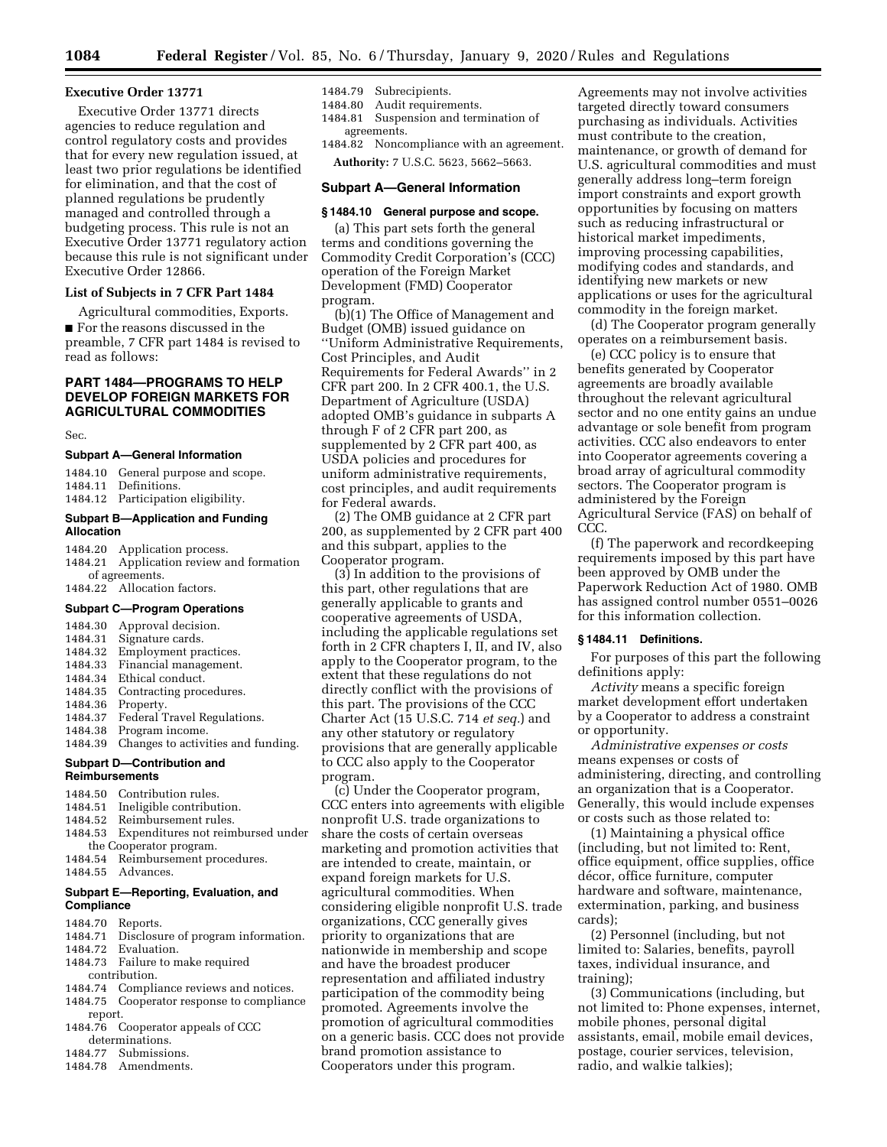## **Executive Order 13771**

Executive Order 13771 directs agencies to reduce regulation and control regulatory costs and provides that for every new regulation issued, at least two prior regulations be identified for elimination, and that the cost of planned regulations be prudently managed and controlled through a budgeting process. This rule is not an Executive Order 13771 regulatory action because this rule is not significant under Executive Order 12866.

## **List of Subjects in 7 CFR Part 1484**

Agricultural commodities, Exports. ■ For the reasons discussed in the preamble, 7 CFR part 1484 is revised to read as follows:

## **PART 1484—PROGRAMS TO HELP DEVELOP FOREIGN MARKETS FOR AGRICULTURAL COMMODITIES**

Sec.

## **Subpart A—General Information**

1484.10 General purpose and scope. 1484.11 Definitions. 1484.12 Participation eligibility.

## **Subpart B—Application and Funding Allocation**

|                | 1484.20 Application process.             |
|----------------|------------------------------------------|
|                | 1484.21 Application review and formation |
| of agreements. |                                          |
|                | 1484.22 Allocation factors.              |

## **Subpart C—Program Operations**

1484.30 Approval decision. 1484.31 Signature cards. 1484.32 Employment practices. 1484.33 Financial management. 1484.34 Ethical conduct. 1484.35 Contracting procedures. 1484.36 Property. 1484.37 Federal Travel Regulations.<br>1484.38 Program income. Program income. 1484.39 Changes to activities and funding. **Subpart D—Contribution and Reimbursements**  1484.50 Contribution rules.

|                                      | 1484.51 Ineligible contribution.          |  |
|--------------------------------------|-------------------------------------------|--|
|                                      | 1484.52 Reimbursement rules.              |  |
|                                      | 1484.53 Expenditures not reimbursed under |  |
| the Cooperator program.              |                                           |  |
|                                      | 1484.54 Reimbursement procedures.         |  |
|                                      | 1484.55 Advances.                         |  |
| Subpart E-Reporting, Evaluation, and |                                           |  |

## **Compliance**

- 1484.70 Reports.
- 1484.71 Disclosure of program information.<br>1484.72 Evaluation.
- 1484.72 Evaluation.<br>1484.73 Failure to n Failure to make required
- contribution.<br>1484.74 Complia
- 1484.74 Compliance reviews and notices.<br>1484.75 Cooperator response to complian Cooperator response to compliance
- report. 1484.76 Cooperator appeals of CCC
- determinations. 1484.77 Submissions.
- 1484.78 Amendments.

## 1484.79 Subrecipients.

- 1484.80 Audit requirements.
- 1484.81 Suspension and termination of agreements.

1484.82 Noncompliance with an agreement. **Authority:** 7 U.S.C. 5623, 5662–5663.

#### **Subpart A—General Information**

## **§ 1484.10 General purpose and scope.**

(a) This part sets forth the general terms and conditions governing the Commodity Credit Corporation's (CCC) operation of the Foreign Market Development (FMD) Cooperator program.

(b)(1) The Office of Management and Budget (OMB) issued guidance on ''Uniform Administrative Requirements, Cost Principles, and Audit Requirements for Federal Awards'' in 2 CFR part 200. In 2 CFR 400.1, the U.S. Department of Agriculture (USDA) adopted OMB's guidance in subparts A through F of 2 CFR part 200, as supplemented by 2 CFR part 400, as USDA policies and procedures for uniform administrative requirements, cost principles, and audit requirements for Federal awards.

(2) The OMB guidance at 2 CFR part 200, as supplemented by 2 CFR part 400 and this subpart, applies to the Cooperator program.

(3) In addition to the provisions of this part, other regulations that are generally applicable to grants and cooperative agreements of USDA, including the applicable regulations set forth in 2 CFR chapters I, II, and IV, also apply to the Cooperator program, to the extent that these regulations do not directly conflict with the provisions of this part. The provisions of the CCC Charter Act (15 U.S.C. 714 *et seq.*) and any other statutory or regulatory provisions that are generally applicable to CCC also apply to the Cooperator program.

(c) Under the Cooperator program, CCC enters into agreements with eligible nonprofit U.S. trade organizations to share the costs of certain overseas marketing and promotion activities that are intended to create, maintain, or expand foreign markets for U.S. agricultural commodities. When considering eligible nonprofit U.S. trade organizations, CCC generally gives priority to organizations that are nationwide in membership and scope and have the broadest producer representation and affiliated industry participation of the commodity being promoted. Agreements involve the promotion of agricultural commodities on a generic basis. CCC does not provide brand promotion assistance to Cooperators under this program.

Agreements may not involve activities targeted directly toward consumers purchasing as individuals. Activities must contribute to the creation, maintenance, or growth of demand for U.S. agricultural commodities and must generally address long–term foreign import constraints and export growth opportunities by focusing on matters such as reducing infrastructural or historical market impediments, improving processing capabilities, modifying codes and standards, and identifying new markets or new applications or uses for the agricultural commodity in the foreign market.

(d) The Cooperator program generally operates on a reimbursement basis.

(e) CCC policy is to ensure that benefits generated by Cooperator agreements are broadly available throughout the relevant agricultural sector and no one entity gains an undue advantage or sole benefit from program activities. CCC also endeavors to enter into Cooperator agreements covering a broad array of agricultural commodity sectors. The Cooperator program is administered by the Foreign Agricultural Service (FAS) on behalf of CCC.

(f) The paperwork and recordkeeping requirements imposed by this part have been approved by OMB under the Paperwork Reduction Act of 1980. OMB has assigned control number 0551–0026 for this information collection.

## **§ 1484.11 Definitions.**

For purposes of this part the following definitions apply:

*Activity* means a specific foreign market development effort undertaken by a Cooperator to address a constraint or opportunity.

*Administrative expenses or costs*  means expenses or costs of administering, directing, and controlling an organization that is a Cooperator. Generally, this would include expenses or costs such as those related to:

(1) Maintaining a physical office (including, but not limited to: Rent, office equipment, office supplies, office décor, office furniture, computer hardware and software, maintenance, extermination, parking, and business cards);

(2) Personnel (including, but not limited to: Salaries, benefits, payroll taxes, individual insurance, and training);

(3) Communications (including, but not limited to: Phone expenses, internet, mobile phones, personal digital assistants, email, mobile email devices, postage, courier services, television, radio, and walkie talkies);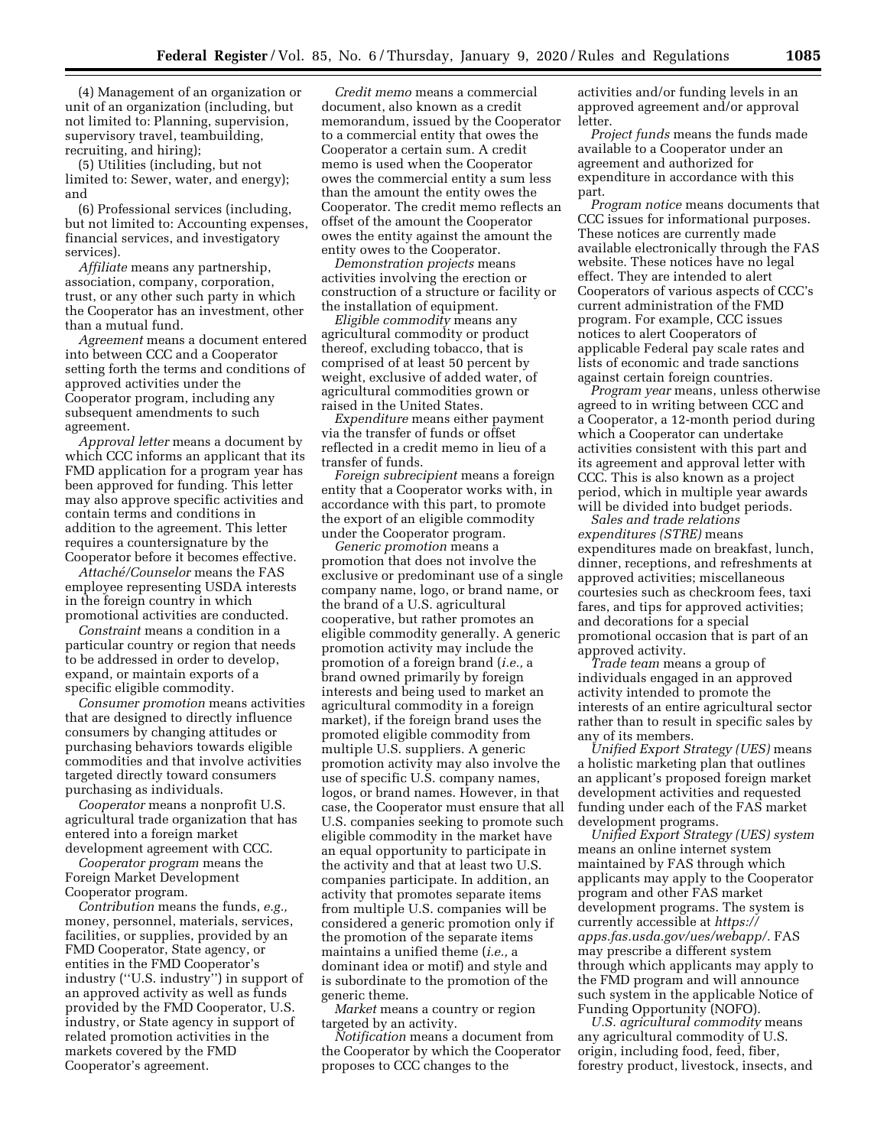(4) Management of an organization or unit of an organization (including, but not limited to: Planning, supervision, supervisory travel, teambuilding, recruiting, and hiring);

(5) Utilities (including, but not limited to: Sewer, water, and energy); and

(6) Professional services (including, but not limited to: Accounting expenses, financial services, and investigatory services).

*Affiliate* means any partnership, association, company, corporation, trust, or any other such party in which the Cooperator has an investment, other than a mutual fund.

*Agreement* means a document entered into between CCC and a Cooperator setting forth the terms and conditions of approved activities under the Cooperator program, including any subsequent amendments to such agreement.

*Approval letter* means a document by which CCC informs an applicant that its FMD application for a program year has been approved for funding. This letter may also approve specific activities and contain terms and conditions in addition to the agreement. This letter requires a countersignature by the Cooperator before it becomes effective.

*Attache´/Counselor* means the FAS employee representing USDA interests in the foreign country in which promotional activities are conducted.

*Constraint* means a condition in a particular country or region that needs to be addressed in order to develop, expand, or maintain exports of a specific eligible commodity.

*Consumer promotion* means activities that are designed to directly influence consumers by changing attitudes or purchasing behaviors towards eligible commodities and that involve activities targeted directly toward consumers purchasing as individuals.

*Cooperator* means a nonprofit U.S. agricultural trade organization that has entered into a foreign market development agreement with CCC.

*Cooperator program* means the Foreign Market Development Cooperator program.

*Contribution* means the funds, *e.g.,*  money, personnel, materials, services, facilities, or supplies, provided by an FMD Cooperator, State agency, or entities in the FMD Cooperator's industry (''U.S. industry'') in support of an approved activity as well as funds provided by the FMD Cooperator, U.S. industry, or State agency in support of related promotion activities in the markets covered by the FMD Cooperator's agreement.

*Credit memo* means a commercial document, also known as a credit memorandum, issued by the Cooperator to a commercial entity that owes the Cooperator a certain sum. A credit memo is used when the Cooperator owes the commercial entity a sum less than the amount the entity owes the Cooperator. The credit memo reflects an offset of the amount the Cooperator owes the entity against the amount the entity owes to the Cooperator.

*Demonstration projects* means activities involving the erection or construction of a structure or facility or the installation of equipment.

*Eligible commodity* means any agricultural commodity or product thereof, excluding tobacco, that is comprised of at least 50 percent by weight, exclusive of added water, of agricultural commodities grown or raised in the United States.

*Expenditure* means either payment via the transfer of funds or offset reflected in a credit memo in lieu of a transfer of funds.

*Foreign subrecipient* means a foreign entity that a Cooperator works with, in accordance with this part, to promote the export of an eligible commodity under the Cooperator program.

*Generic promotion* means a promotion that does not involve the exclusive or predominant use of a single company name, logo, or brand name, or the brand of a U.S. agricultural cooperative, but rather promotes an eligible commodity generally. A generic promotion activity may include the promotion of a foreign brand (*i.e.,* a brand owned primarily by foreign interests and being used to market an agricultural commodity in a foreign market), if the foreign brand uses the promoted eligible commodity from multiple U.S. suppliers. A generic promotion activity may also involve the use of specific U.S. company names, logos, or brand names. However, in that case, the Cooperator must ensure that all U.S. companies seeking to promote such eligible commodity in the market have an equal opportunity to participate in the activity and that at least two U.S. companies participate. In addition, an activity that promotes separate items from multiple U.S. companies will be considered a generic promotion only if the promotion of the separate items maintains a unified theme (*i.e.,* a dominant idea or motif) and style and is subordinate to the promotion of the generic theme.

*Market* means a country or region targeted by an activity.

*Notification* means a document from the Cooperator by which the Cooperator proposes to CCC changes to the

activities and/or funding levels in an approved agreement and/or approval letter.

*Project funds* means the funds made available to a Cooperator under an agreement and authorized for expenditure in accordance with this part.

*Program notice* means documents that CCC issues for informational purposes. These notices are currently made available electronically through the FAS website. These notices have no legal effect. They are intended to alert Cooperators of various aspects of CCC's current administration of the FMD program. For example, CCC issues notices to alert Cooperators of applicable Federal pay scale rates and lists of economic and trade sanctions against certain foreign countries.

*Program year* means, unless otherwise agreed to in writing between CCC and a Cooperator, a 12-month period during which a Cooperator can undertake activities consistent with this part and its agreement and approval letter with CCC. This is also known as a project period, which in multiple year awards will be divided into budget periods.

*Sales and trade relations expenditures (STRE)* means expenditures made on breakfast, lunch, dinner, receptions, and refreshments at approved activities; miscellaneous courtesies such as checkroom fees, taxi fares, and tips for approved activities; and decorations for a special promotional occasion that is part of an approved activity.

*Trade team* means a group of individuals engaged in an approved activity intended to promote the interests of an entire agricultural sector rather than to result in specific sales by any of its members.

*Unified Export Strategy (UES)* means a holistic marketing plan that outlines an applicant's proposed foreign market development activities and requested funding under each of the FAS market development programs.

*Unified Export Strategy (UES) system*  means an online internet system maintained by FAS through which applicants may apply to the Cooperator program and other FAS market development programs. The system is currently accessible at *[https://](https://apps.fas.usda.gov/ues/webapp/) [apps.fas.usda.gov/ues/webapp/.](https://apps.fas.usda.gov/ues/webapp/)* FAS may prescribe a different system through which applicants may apply to the FMD program and will announce such system in the applicable Notice of Funding Opportunity (NOFO).

*U.S. agricultural commodity* means any agricultural commodity of U.S. origin, including food, feed, fiber, forestry product, livestock, insects, and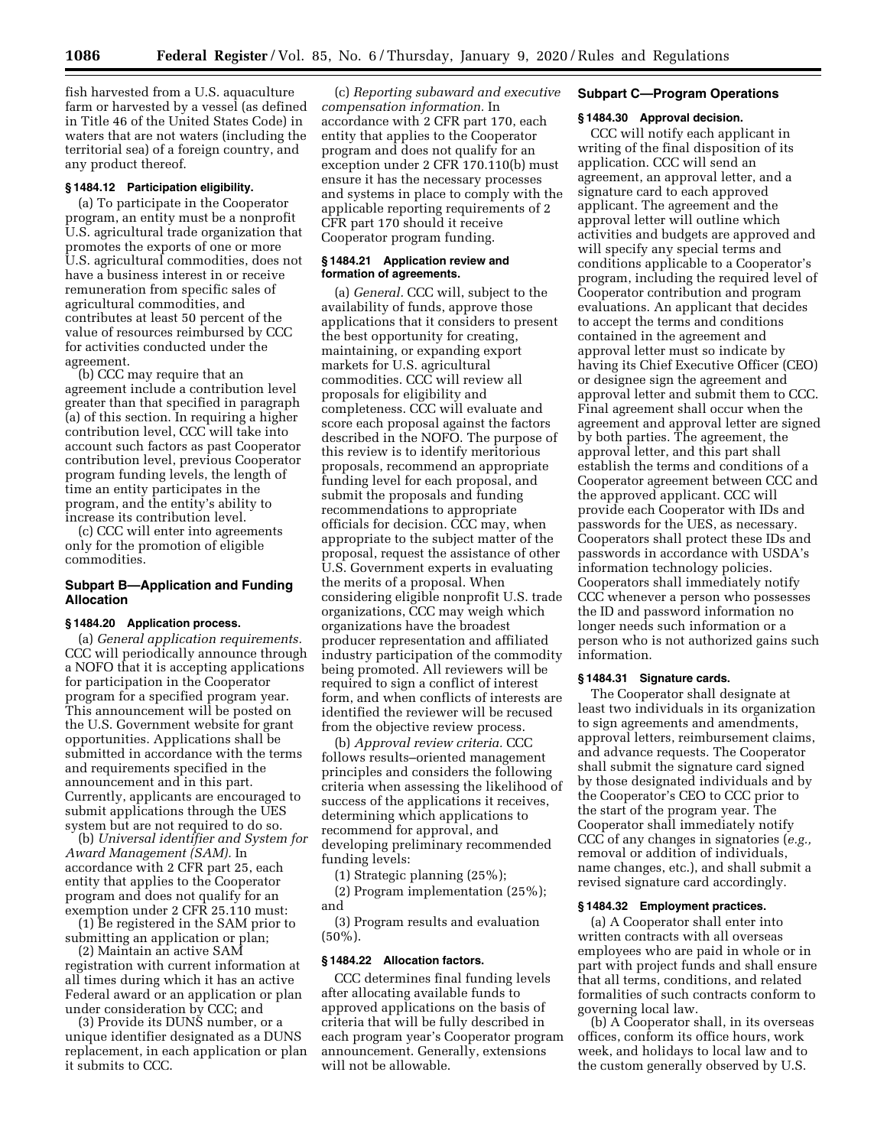fish harvested from a U.S. aquaculture farm or harvested by a vessel (as defined in Title 46 of the United States Code) in waters that are not waters (including the territorial sea) of a foreign country, and any product thereof.

## **§ 1484.12 Participation eligibility.**

(a) To participate in the Cooperator program, an entity must be a nonprofit U.S. agricultural trade organization that promotes the exports of one or more U.S. agricultural commodities, does not have a business interest in or receive remuneration from specific sales of agricultural commodities, and contributes at least 50 percent of the value of resources reimbursed by CCC for activities conducted under the agreement.

(b) CCC may require that an agreement include a contribution level greater than that specified in paragraph (a) of this section. In requiring a higher contribution level, CCC will take into account such factors as past Cooperator contribution level, previous Cooperator program funding levels, the length of time an entity participates in the program, and the entity's ability to increase its contribution level.

(c) CCC will enter into agreements only for the promotion of eligible commodities.

## **Subpart B—Application and Funding Allocation**

## **§ 1484.20 Application process.**

(a) *General application requirements.*  CCC will periodically announce through a NOFO that it is accepting applications for participation in the Cooperator program for a specified program year. This announcement will be posted on the U.S. Government website for grant opportunities. Applications shall be submitted in accordance with the terms and requirements specified in the announcement and in this part. Currently, applicants are encouraged to submit applications through the UES system but are not required to do so.

(b) *Universal identifier and System for Award Management (SAM).* In accordance with 2 CFR part 25, each entity that applies to the Cooperator program and does not qualify for an exemption under 2 CFR 25.110 must:

(1) Be registered in the SAM prior to submitting an application or plan;

(2) Maintain an active SAM registration with current information at all times during which it has an active Federal award or an application or plan under consideration by CCC; and

(3) Provide its DUNS number, or a unique identifier designated as a DUNS replacement, in each application or plan it submits to CCC.

(c) *Reporting subaward and executive compensation information.* In accordance with 2 CFR part 170, each entity that applies to the Cooperator program and does not qualify for an exception under 2 CFR 170.110(b) must ensure it has the necessary processes and systems in place to comply with the applicable reporting requirements of 2 CFR part 170 should it receive Cooperator program funding.

## **§ 1484.21 Application review and formation of agreements.**

(a) *General.* CCC will, subject to the availability of funds, approve those applications that it considers to present the best opportunity for creating, maintaining, or expanding export markets for U.S. agricultural commodities. CCC will review all proposals for eligibility and completeness. CCC will evaluate and score each proposal against the factors described in the NOFO. The purpose of this review is to identify meritorious proposals, recommend an appropriate funding level for each proposal, and submit the proposals and funding recommendations to appropriate officials for decision. CCC may, when appropriate to the subject matter of the proposal, request the assistance of other U.S. Government experts in evaluating the merits of a proposal. When considering eligible nonprofit U.S. trade organizations, CCC may weigh which organizations have the broadest producer representation and affiliated industry participation of the commodity being promoted. All reviewers will be required to sign a conflict of interest form, and when conflicts of interests are identified the reviewer will be recused from the objective review process.

(b) *Approval review criteria.* CCC follows results–oriented management principles and considers the following criteria when assessing the likelihood of success of the applications it receives, determining which applications to recommend for approval, and developing preliminary recommended funding levels:

(1) Strategic planning (25%);

(2) Program implementation (25%); and

(3) Program results and evaluation (50%).

#### **§ 1484.22 Allocation factors.**

CCC determines final funding levels after allocating available funds to approved applications on the basis of criteria that will be fully described in each program year's Cooperator program announcement. Generally, extensions will not be allowable.

#### **Subpart C—Program Operations**

#### **§ 1484.30 Approval decision.**

CCC will notify each applicant in writing of the final disposition of its application. CCC will send an agreement, an approval letter, and a signature card to each approved applicant. The agreement and the approval letter will outline which activities and budgets are approved and will specify any special terms and conditions applicable to a Cooperator's program, including the required level of Cooperator contribution and program evaluations. An applicant that decides to accept the terms and conditions contained in the agreement and approval letter must so indicate by having its Chief Executive Officer (CEO) or designee sign the agreement and approval letter and submit them to CCC. Final agreement shall occur when the agreement and approval letter are signed by both parties. The agreement, the approval letter, and this part shall establish the terms and conditions of a Cooperator agreement between CCC and the approved applicant. CCC will provide each Cooperator with IDs and passwords for the UES, as necessary. Cooperators shall protect these IDs and passwords in accordance with USDA's information technology policies. Cooperators shall immediately notify CCC whenever a person who possesses the ID and password information no longer needs such information or a person who is not authorized gains such information.

## **§ 1484.31 Signature cards.**

The Cooperator shall designate at least two individuals in its organization to sign agreements and amendments, approval letters, reimbursement claims, and advance requests. The Cooperator shall submit the signature card signed by those designated individuals and by the Cooperator's CEO to CCC prior to the start of the program year. The Cooperator shall immediately notify CCC of any changes in signatories (*e.g.,*  removal or addition of individuals, name changes, etc.), and shall submit a revised signature card accordingly.

## **§ 1484.32 Employment practices.**

(a) A Cooperator shall enter into written contracts with all overseas employees who are paid in whole or in part with project funds and shall ensure that all terms, conditions, and related formalities of such contracts conform to governing local law.

(b) A Cooperator shall, in its overseas offices, conform its office hours, work week, and holidays to local law and to the custom generally observed by U.S.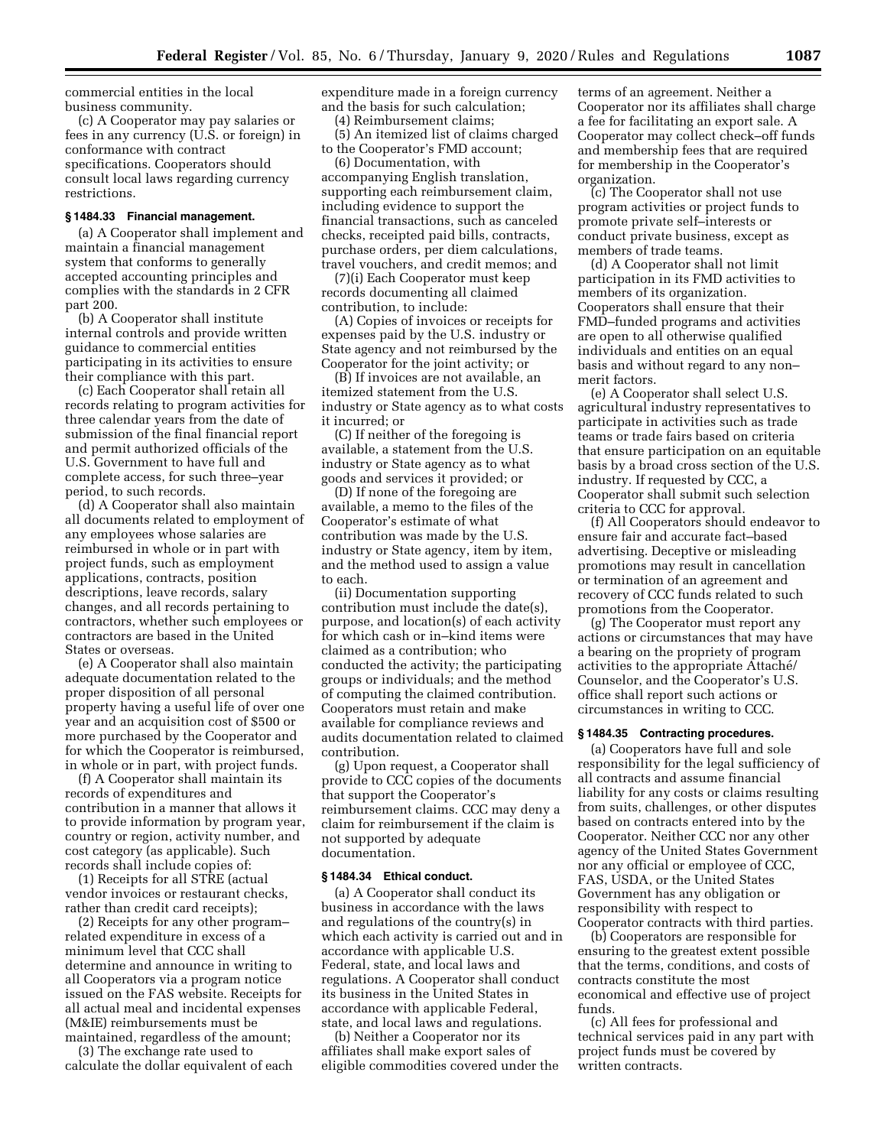commercial entities in the local business community.

(c) A Cooperator may pay salaries or fees in any currency (U.S. or foreign) in conformance with contract specifications. Cooperators should consult local laws regarding currency restrictions.

#### **§ 1484.33 Financial management.**

(a) A Cooperator shall implement and maintain a financial management system that conforms to generally accepted accounting principles and complies with the standards in 2 CFR part 200.

(b) A Cooperator shall institute internal controls and provide written guidance to commercial entities participating in its activities to ensure their compliance with this part.

(c) Each Cooperator shall retain all records relating to program activities for three calendar years from the date of submission of the final financial report and permit authorized officials of the U.S. Government to have full and complete access, for such three–year period, to such records.

(d) A Cooperator shall also maintain all documents related to employment of any employees whose salaries are reimbursed in whole or in part with project funds, such as employment applications, contracts, position descriptions, leave records, salary changes, and all records pertaining to contractors, whether such employees or contractors are based in the United States or overseas.

(e) A Cooperator shall also maintain adequate documentation related to the proper disposition of all personal property having a useful life of over one year and an acquisition cost of \$500 or more purchased by the Cooperator and for which the Cooperator is reimbursed, in whole or in part, with project funds.

(f) A Cooperator shall maintain its records of expenditures and contribution in a manner that allows it to provide information by program year, country or region, activity number, and cost category (as applicable). Such records shall include copies of:

(1) Receipts for all STRE (actual vendor invoices or restaurant checks, rather than credit card receipts);

(2) Receipts for any other program– related expenditure in excess of a minimum level that CCC shall determine and announce in writing to all Cooperators via a program notice issued on the FAS website. Receipts for all actual meal and incidental expenses (M&IE) reimbursements must be maintained, regardless of the amount;

(3) The exchange rate used to calculate the dollar equivalent of each expenditure made in a foreign currency and the basis for such calculation;

(4) Reimbursement claims;

(5) An itemized list of claims charged to the Cooperator's FMD account;

(6) Documentation, with accompanying English translation, supporting each reimbursement claim, including evidence to support the financial transactions, such as canceled checks, receipted paid bills, contracts, purchase orders, per diem calculations, travel vouchers, and credit memos; and

(7)(i) Each Cooperator must keep records documenting all claimed contribution, to include:

(A) Copies of invoices or receipts for expenses paid by the U.S. industry or State agency and not reimbursed by the Cooperator for the joint activity; or

(B) If invoices are not available, an itemized statement from the U.S. industry or State agency as to what costs it incurred; or

(C) If neither of the foregoing is available, a statement from the U.S. industry or State agency as to what goods and services it provided; or

(D) If none of the foregoing are available, a memo to the files of the Cooperator's estimate of what contribution was made by the U.S. industry or State agency, item by item, and the method used to assign a value to each.

(ii) Documentation supporting contribution must include the date(s), purpose, and location(s) of each activity for which cash or in–kind items were claimed as a contribution; who conducted the activity; the participating groups or individuals; and the method of computing the claimed contribution. Cooperators must retain and make available for compliance reviews and audits documentation related to claimed contribution.

(g) Upon request, a Cooperator shall provide to CCC copies of the documents that support the Cooperator's reimbursement claims. CCC may deny a claim for reimbursement if the claim is not supported by adequate documentation.

#### **§ 1484.34 Ethical conduct.**

(a) A Cooperator shall conduct its business in accordance with the laws and regulations of the country(s) in which each activity is carried out and in accordance with applicable U.S. Federal, state, and local laws and regulations. A Cooperator shall conduct its business in the United States in accordance with applicable Federal, state, and local laws and regulations.

(b) Neither a Cooperator nor its affiliates shall make export sales of eligible commodities covered under the terms of an agreement. Neither a Cooperator nor its affiliates shall charge a fee for facilitating an export sale. A Cooperator may collect check–off funds and membership fees that are required for membership in the Cooperator's organization.

(c) The Cooperator shall not use program activities or project funds to promote private self–interests or conduct private business, except as members of trade teams.

(d) A Cooperator shall not limit participation in its FMD activities to members of its organization. Cooperators shall ensure that their FMD–funded programs and activities are open to all otherwise qualified individuals and entities on an equal basis and without regard to any non– merit factors.

(e) A Cooperator shall select U.S. agricultural industry representatives to participate in activities such as trade teams or trade fairs based on criteria that ensure participation on an equitable basis by a broad cross section of the U.S. industry. If requested by CCC, a Cooperator shall submit such selection criteria to CCC for approval.

(f) All Cooperators should endeavor to ensure fair and accurate fact–based advertising. Deceptive or misleading promotions may result in cancellation or termination of an agreement and recovery of CCC funds related to such promotions from the Cooperator.

(g) The Cooperator must report any actions or circumstances that may have a bearing on the propriety of program activities to the appropriate Attaché/ Counselor, and the Cooperator's U.S. office shall report such actions or circumstances in writing to CCC.

## **§ 1484.35 Contracting procedures.**

(a) Cooperators have full and sole responsibility for the legal sufficiency of all contracts and assume financial liability for any costs or claims resulting from suits, challenges, or other disputes based on contracts entered into by the Cooperator. Neither CCC nor any other agency of the United States Government nor any official or employee of CCC, FAS, USDA, or the United States Government has any obligation or responsibility with respect to Cooperator contracts with third parties.

(b) Cooperators are responsible for ensuring to the greatest extent possible that the terms, conditions, and costs of contracts constitute the most economical and effective use of project funds.

(c) All fees for professional and technical services paid in any part with project funds must be covered by written contracts.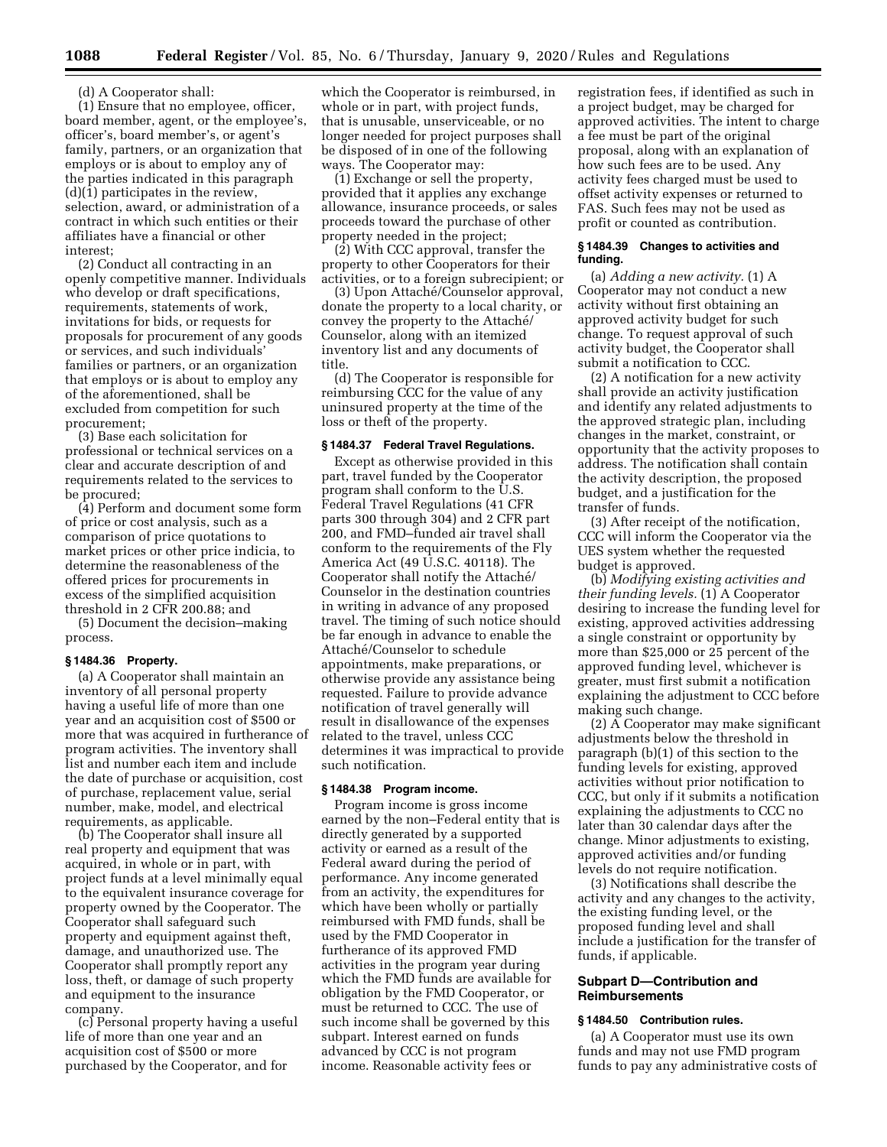(d) A Cooperator shall:

(1) Ensure that no employee, officer, board member, agent, or the employee's, officer's, board member's, or agent's family, partners, or an organization that employs or is about to employ any of the parties indicated in this paragraph (d)(1) participates in the review, selection, award, or administration of a contract in which such entities or their affiliates have a financial or other interest;

(2) Conduct all contracting in an openly competitive manner. Individuals who develop or draft specifications, requirements, statements of work, invitations for bids, or requests for proposals for procurement of any goods or services, and such individuals' families or partners, or an organization that employs or is about to employ any of the aforementioned, shall be excluded from competition for such procurement;

(3) Base each solicitation for professional or technical services on a clear and accurate description of and requirements related to the services to be procured;

(4) Perform and document some form of price or cost analysis, such as a comparison of price quotations to market prices or other price indicia, to determine the reasonableness of the offered prices for procurements in excess of the simplified acquisition threshold in 2 CFR 200.88; and

(5) Document the decision–making process.

## **§ 1484.36 Property.**

(a) A Cooperator shall maintain an inventory of all personal property having a useful life of more than one year and an acquisition cost of \$500 or more that was acquired in furtherance of program activities. The inventory shall list and number each item and include the date of purchase or acquisition, cost of purchase, replacement value, serial number, make, model, and electrical requirements, as applicable.

(b) The Cooperator shall insure all real property and equipment that was acquired, in whole or in part, with project funds at a level minimally equal to the equivalent insurance coverage for property owned by the Cooperator. The Cooperator shall safeguard such property and equipment against theft, damage, and unauthorized use. The Cooperator shall promptly report any loss, theft, or damage of such property and equipment to the insurance company.

(c) Personal property having a useful life of more than one year and an acquisition cost of \$500 or more purchased by the Cooperator, and for

which the Cooperator is reimbursed, in whole or in part, with project funds, that is unusable, unserviceable, or no longer needed for project purposes shall be disposed of in one of the following ways. The Cooperator may:

(1) Exchange or sell the property, provided that it applies any exchange allowance, insurance proceeds, or sales proceeds toward the purchase of other property needed in the project;

(2) With CCC approval, transfer the property to other Cooperators for their activities, or to a foreign subrecipient; or

(3) Upon Attaché/Counselor approval, donate the property to a local charity, or convey the property to the Attaché/ Counselor, along with an itemized inventory list and any documents of title.

(d) The Cooperator is responsible for reimbursing CCC for the value of any uninsured property at the time of the loss or theft of the property.

#### **§ 1484.37 Federal Travel Regulations.**

Except as otherwise provided in this part, travel funded by the Cooperator program shall conform to the U.S. Federal Travel Regulations (41 CFR parts 300 through 304) and 2 CFR part 200, and FMD–funded air travel shall conform to the requirements of the Fly America Act (49 U.S.C. 40118). The Cooperator shall notify the Attaché/ Counselor in the destination countries in writing in advance of any proposed travel. The timing of such notice should be far enough in advance to enable the Attaché/Counselor to schedule appointments, make preparations, or otherwise provide any assistance being requested. Failure to provide advance notification of travel generally will result in disallowance of the expenses related to the travel, unless CCC determines it was impractical to provide such notification.

## **§ 1484.38 Program income.**

Program income is gross income earned by the non–Federal entity that is directly generated by a supported activity or earned as a result of the Federal award during the period of performance. Any income generated from an activity, the expenditures for which have been wholly or partially reimbursed with FMD funds, shall be used by the FMD Cooperator in furtherance of its approved FMD activities in the program year during which the FMD funds are available for obligation by the FMD Cooperator, or must be returned to CCC. The use of such income shall be governed by this subpart. Interest earned on funds advanced by CCC is not program income. Reasonable activity fees or

registration fees, if identified as such in a project budget, may be charged for approved activities. The intent to charge a fee must be part of the original proposal, along with an explanation of how such fees are to be used. Any activity fees charged must be used to offset activity expenses or returned to FAS. Such fees may not be used as profit or counted as contribution.

#### **§ 1484.39 Changes to activities and funding.**

(a) *Adding a new activity.* (1) A Cooperator may not conduct a new activity without first obtaining an approved activity budget for such change. To request approval of such activity budget, the Cooperator shall submit a notification to CCC.

(2) A notification for a new activity shall provide an activity justification and identify any related adjustments to the approved strategic plan, including changes in the market, constraint, or opportunity that the activity proposes to address. The notification shall contain the activity description, the proposed budget, and a justification for the transfer of funds.

(3) After receipt of the notification, CCC will inform the Cooperator via the UES system whether the requested budget is approved.

(b) *Modifying existing activities and their funding levels.* (1) A Cooperator desiring to increase the funding level for existing, approved activities addressing a single constraint or opportunity by more than \$25,000 or 25 percent of the approved funding level, whichever is greater, must first submit a notification explaining the adjustment to CCC before making such change.

(2) A Cooperator may make significant adjustments below the threshold in paragraph (b)(1) of this section to the funding levels for existing, approved activities without prior notification to CCC, but only if it submits a notification explaining the adjustments to CCC no later than 30 calendar days after the change. Minor adjustments to existing, approved activities and/or funding levels do not require notification.

(3) Notifications shall describe the activity and any changes to the activity, the existing funding level, or the proposed funding level and shall include a justification for the transfer of funds, if applicable.

## **Subpart D—Contribution and Reimbursements**

## **§ 1484.50 Contribution rules.**

(a) A Cooperator must use its own funds and may not use FMD program funds to pay any administrative costs of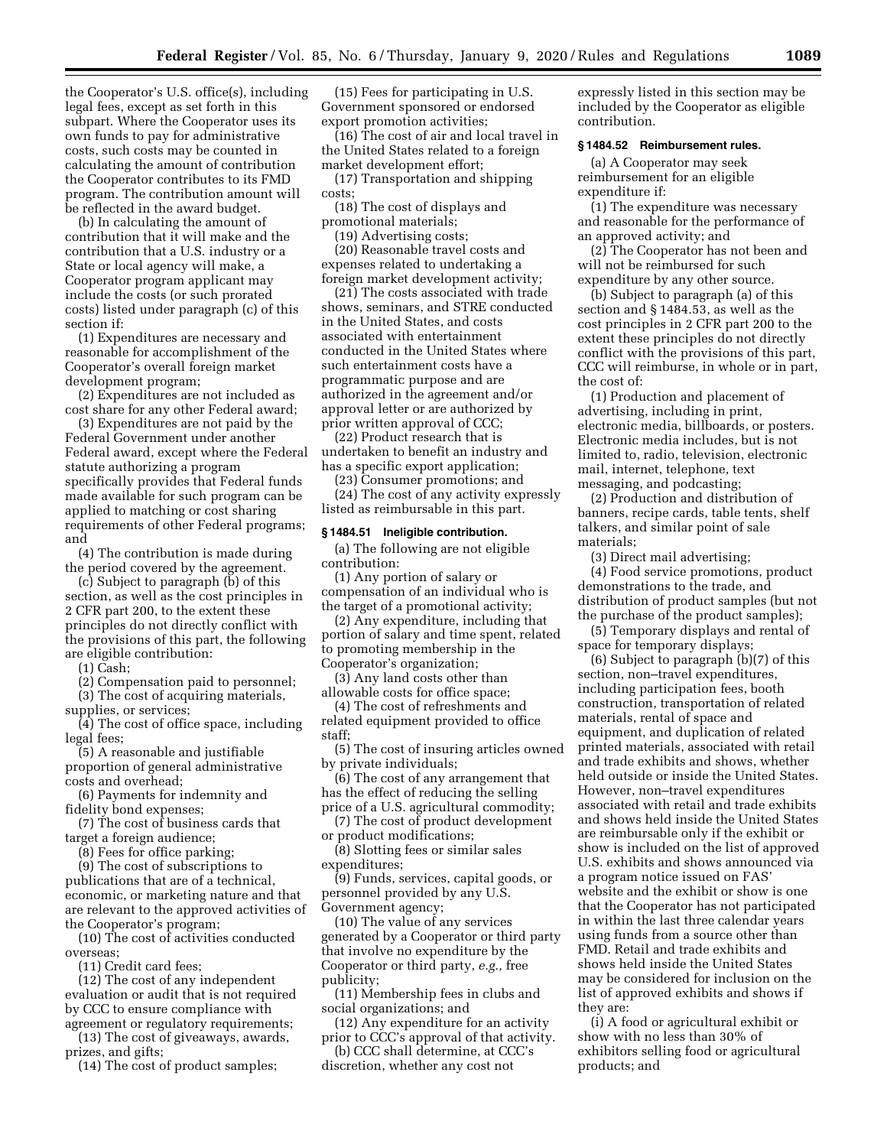the Cooperator's U.S. office(s), including legal fees, except as set forth in this subpart. Where the Cooperator uses its own funds to pay for administrative costs, such costs may be counted in calculating the amount of contribution the Cooperator contributes to its FMD program. The contribution amount will be reflected in the award budget.

(b) In calculating the amount of contribution that it will make and the contribution that a U.S. industry or a State or local agency will make, a Cooperator program applicant may include the costs (or such prorated costs) listed under paragraph (c) of this section if:

(1) Expenditures are necessary and reasonable for accomplishment of the Cooperator's overall foreign market development program;

(2) Expenditures are not included as cost share for any other Federal award;

(3) Expenditures are not paid by the Federal Government under another Federal award, except where the Federal statute authorizing a program specifically provides that Federal funds made available for such program can be applied to matching or cost sharing requirements of other Federal programs; and

(4) The contribution is made during the period covered by the agreement.

(c) Subject to paragraph (b) of this section, as well as the cost principles in 2 CFR part 200, to the extent these principles do not directly conflict with the provisions of this part, the following are eligible contribution:

(1) Cash;

(2) Compensation paid to personnel; (3) The cost of acquiring materials,

supplies, or services;

(4) The cost of office space, including legal fees;

(5) A reasonable and justifiable proportion of general administrative costs and overhead;

(6) Payments for indemnity and fidelity bond expenses;

(7) The cost of business cards that target a foreign audience;

(8) Fees for office parking;

(9) The cost of subscriptions to publications that are of a technical, economic, or marketing nature and that are relevant to the approved activities of the Cooperator's program;

(10) The cost of activities conducted overseas;

(11) Credit card fees;

(12) The cost of any independent evaluation or audit that is not required by CCC to ensure compliance with agreement or regulatory requirements;

(13) The cost of giveaways, awards, prizes, and gifts;

(14) The cost of product samples;

(15) Fees for participating in U.S. Government sponsored or endorsed export promotion activities;

(16) The cost of air and local travel in the United States related to a foreign market development effort;

(17) Transportation and shipping costs;

(18) The cost of displays and promotional materials;

(19) Advertising costs;

(20) Reasonable travel costs and expenses related to undertaking a foreign market development activity;

(21) The costs associated with trade shows, seminars, and STRE conducted in the United States, and costs associated with entertainment conducted in the United States where such entertainment costs have a programmatic purpose and are authorized in the agreement and/or approval letter or are authorized by prior written approval of CCC;

(22) Product research that is undertaken to benefit an industry and has a specific export application;

(23) Consumer promotions; and

(24) The cost of any activity expressly listed as reimbursable in this part.

## **§ 1484.51 Ineligible contribution.**

(a) The following are not eligible contribution:

(1) Any portion of salary or compensation of an individual who is the target of a promotional activity;

(2) Any expenditure, including that portion of salary and time spent, related to promoting membership in the Cooperator's organization;

(3) Any land costs other than allowable costs for office space;

(4) The cost of refreshments and related equipment provided to office staff;

(5) The cost of insuring articles owned by private individuals;

(6) The cost of any arrangement that has the effect of reducing the selling price of a U.S. agricultural commodity;

(7) The cost of product development or product modifications;

(8) Slotting fees or similar sales expenditures;

(9) Funds, services, capital goods, or personnel provided by any U.S. Government agency;

(10) The value of any services generated by a Cooperator or third party that involve no expenditure by the Cooperator or third party, *e.g.,* free publicity;

(11) Membership fees in clubs and social organizations; and

(12) Any expenditure for an activity prior to CCC's approval of that activity.

(b) CCC shall determine, at CCC's discretion, whether any cost not

expressly listed in this section may be included by the Cooperator as eligible contribution.

## **§ 1484.52 Reimbursement rules.**

(a) A Cooperator may seek reimbursement for an eligible expenditure if:

(1) The expenditure was necessary and reasonable for the performance of an approved activity; and

(2) The Cooperator has not been and will not be reimbursed for such expenditure by any other source.

(b) Subject to paragraph (a) of this section and § 1484.53, as well as the cost principles in 2 CFR part 200 to the extent these principles do not directly conflict with the provisions of this part, CCC will reimburse, in whole or in part, the cost of:

(1) Production and placement of advertising, including in print, electronic media, billboards, or posters. Electronic media includes, but is not limited to, radio, television, electronic mail, internet, telephone, text messaging, and podcasting;

(2) Production and distribution of banners, recipe cards, table tents, shelf talkers, and similar point of sale materials;

(3) Direct mail advertising;

(4) Food service promotions, product demonstrations to the trade, and distribution of product samples (but not the purchase of the product samples);

(5) Temporary displays and rental of space for temporary displays;

(6) Subject to paragraph (b)(7) of this section, non–travel expenditures, including participation fees, booth construction, transportation of related materials, rental of space and equipment, and duplication of related printed materials, associated with retail and trade exhibits and shows, whether held outside or inside the United States. However, non–travel expenditures associated with retail and trade exhibits and shows held inside the United States are reimbursable only if the exhibit or show is included on the list of approved U.S. exhibits and shows announced via a program notice issued on FAS' website and the exhibit or show is one that the Cooperator has not participated in within the last three calendar years using funds from a source other than FMD. Retail and trade exhibits and shows held inside the United States may be considered for inclusion on the list of approved exhibits and shows if they are:

(i) A food or agricultural exhibit or show with no less than 30% of exhibitors selling food or agricultural products; and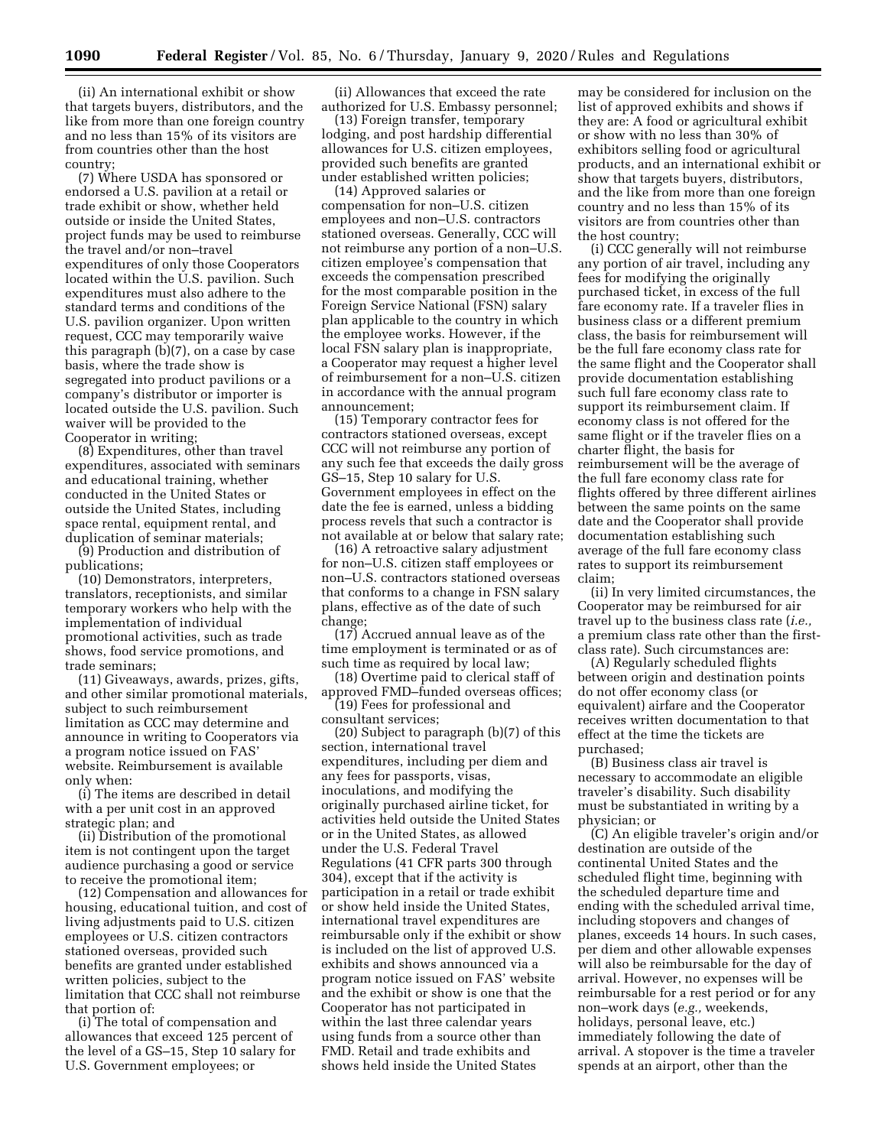(ii) An international exhibit or show that targets buyers, distributors, and the like from more than one foreign country and no less than 15% of its visitors are from countries other than the host country;

(7) Where USDA has sponsored or endorsed a U.S. pavilion at a retail or trade exhibit or show, whether held outside or inside the United States, project funds may be used to reimburse the travel and/or non–travel expenditures of only those Cooperators located within the U.S. pavilion. Such expenditures must also adhere to the standard terms and conditions of the U.S. pavilion organizer. Upon written request, CCC may temporarily waive this paragraph (b)(7), on a case by case basis, where the trade show is segregated into product pavilions or a company's distributor or importer is located outside the U.S. pavilion. Such waiver will be provided to the Cooperator in writing;

(8) Expenditures, other than travel expenditures, associated with seminars and educational training, whether conducted in the United States or outside the United States, including space rental, equipment rental, and duplication of seminar materials;

(9) Production and distribution of publications;

(10) Demonstrators, interpreters, translators, receptionists, and similar temporary workers who help with the implementation of individual promotional activities, such as trade shows, food service promotions, and trade seminars;

(11) Giveaways, awards, prizes, gifts, and other similar promotional materials, subject to such reimbursement limitation as CCC may determine and announce in writing to Cooperators via a program notice issued on FAS' website. Reimbursement is available only when:

(i) The items are described in detail with a per unit cost in an approved strategic plan; and

(ii) Distribution of the promotional item is not contingent upon the target audience purchasing a good or service to receive the promotional item;

(12) Compensation and allowances for housing, educational tuition, and cost of living adjustments paid to U.S. citizen employees or U.S. citizen contractors stationed overseas, provided such benefits are granted under established written policies, subject to the limitation that CCC shall not reimburse that portion of:

(i) The total of compensation and allowances that exceed 125 percent of the level of a GS–15, Step 10 salary for U.S. Government employees; or

(ii) Allowances that exceed the rate authorized for U.S. Embassy personnel;

(13) Foreign transfer, temporary lodging, and post hardship differential allowances for U.S. citizen employees, provided such benefits are granted under established written policies;

(14) Approved salaries or compensation for non–U.S. citizen employees and non–U.S. contractors stationed overseas. Generally, CCC will not reimburse any portion of a non–U.S. citizen employee's compensation that exceeds the compensation prescribed for the most comparable position in the Foreign Service National (FSN) salary plan applicable to the country in which the employee works. However, if the local FSN salary plan is inappropriate, a Cooperator may request a higher level of reimbursement for a non–U.S. citizen in accordance with the annual program announcement;

(15) Temporary contractor fees for contractors stationed overseas, except CCC will not reimburse any portion of any such fee that exceeds the daily gross GS–15, Step 10 salary for U.S. Government employees in effect on the date the fee is earned, unless a bidding process revels that such a contractor is not available at or below that salary rate;

(16) A retroactive salary adjustment for non–U.S. citizen staff employees or non–U.S. contractors stationed overseas that conforms to a change in FSN salary plans, effective as of the date of such change;

(17) Accrued annual leave as of the time employment is terminated or as of such time as required by local law;

(18) Overtime paid to clerical staff of approved FMD–funded overseas offices; (19) Fees for professional and consultant services;

(20) Subject to paragraph (b)(7) of this section, international travel expenditures, including per diem and any fees for passports, visas, inoculations, and modifying the originally purchased airline ticket, for activities held outside the United States or in the United States, as allowed under the U.S. Federal Travel Regulations (41 CFR parts 300 through 304), except that if the activity is participation in a retail or trade exhibit or show held inside the United States, international travel expenditures are reimbursable only if the exhibit or show is included on the list of approved U.S. exhibits and shows announced via a program notice issued on FAS' website and the exhibit or show is one that the Cooperator has not participated in within the last three calendar years using funds from a source other than FMD. Retail and trade exhibits and shows held inside the United States

may be considered for inclusion on the list of approved exhibits and shows if they are: A food or agricultural exhibit or show with no less than 30% of exhibitors selling food or agricultural products, and an international exhibit or show that targets buyers, distributors, and the like from more than one foreign country and no less than 15% of its visitors are from countries other than the host country;

(i) CCC generally will not reimburse any portion of air travel, including any fees for modifying the originally purchased ticket, in excess of the full fare economy rate. If a traveler flies in business class or a different premium class, the basis for reimbursement will be the full fare economy class rate for the same flight and the Cooperator shall provide documentation establishing such full fare economy class rate to support its reimbursement claim. If economy class is not offered for the same flight or if the traveler flies on a charter flight, the basis for reimbursement will be the average of the full fare economy class rate for flights offered by three different airlines between the same points on the same date and the Cooperator shall provide documentation establishing such average of the full fare economy class rates to support its reimbursement claim;

(ii) In very limited circumstances, the Cooperator may be reimbursed for air travel up to the business class rate (*i.e.,*  a premium class rate other than the firstclass rate). Such circumstances are:

(A) Regularly scheduled flights between origin and destination points do not offer economy class (or equivalent) airfare and the Cooperator receives written documentation to that effect at the time the tickets are purchased;

(B) Business class air travel is necessary to accommodate an eligible traveler's disability. Such disability must be substantiated in writing by a physician; or

(C) An eligible traveler's origin and/or destination are outside of the continental United States and the scheduled flight time, beginning with the scheduled departure time and ending with the scheduled arrival time, including stopovers and changes of planes, exceeds 14 hours. In such cases, per diem and other allowable expenses will also be reimbursable for the day of arrival. However, no expenses will be reimbursable for a rest period or for any non–work days (*e.g.,* weekends, holidays, personal leave, etc.) immediately following the date of arrival. A stopover is the time a traveler spends at an airport, other than the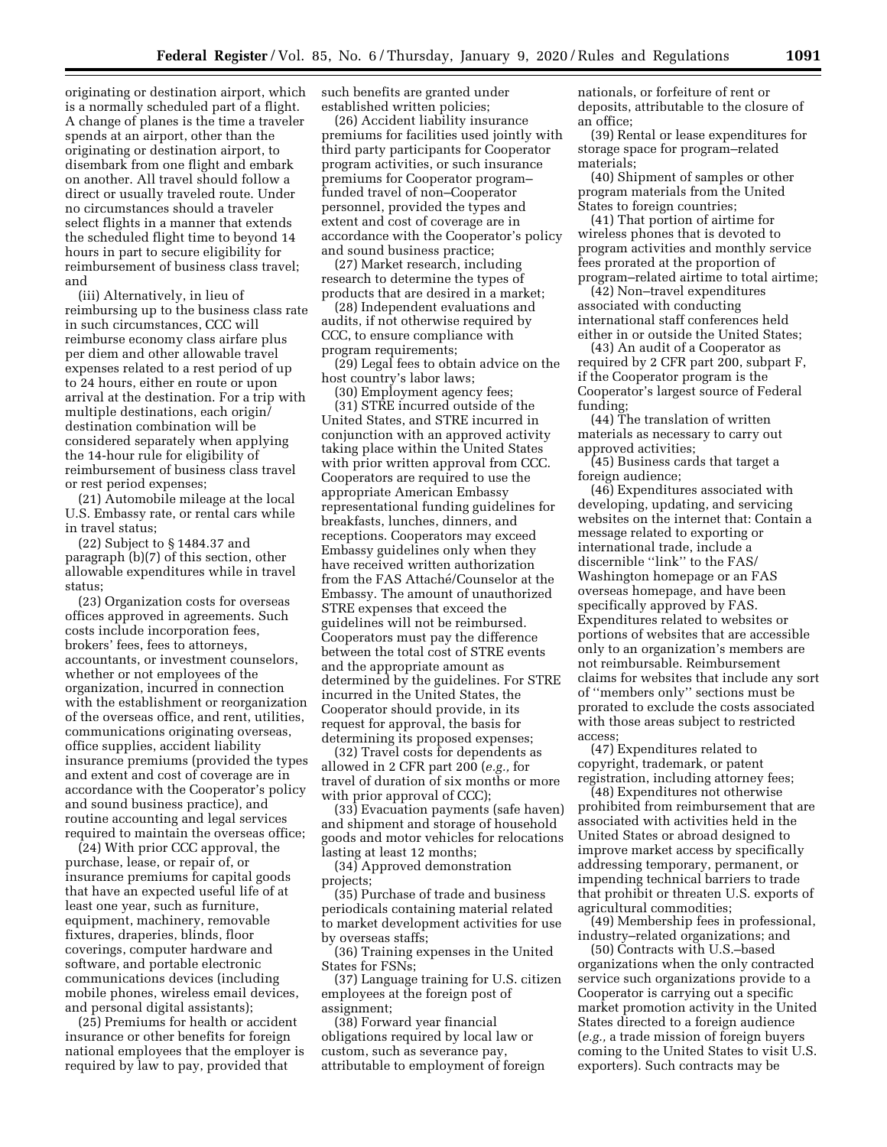originating or destination airport, which is a normally scheduled part of a flight. A change of planes is the time a traveler spends at an airport, other than the originating or destination airport, to disembark from one flight and embark on another. All travel should follow a direct or usually traveled route. Under no circumstances should a traveler select flights in a manner that extends the scheduled flight time to beyond 14 hours in part to secure eligibility for reimbursement of business class travel; and

(iii) Alternatively, in lieu of reimbursing up to the business class rate in such circumstances, CCC will reimburse economy class airfare plus per diem and other allowable travel expenses related to a rest period of up to 24 hours, either en route or upon arrival at the destination. For a trip with multiple destinations, each origin/ destination combination will be considered separately when applying the 14-hour rule for eligibility of reimbursement of business class travel or rest period expenses;

(21) Automobile mileage at the local U.S. Embassy rate, or rental cars while in travel status;

(22) Subject to § 1484.37 and paragraph (b)(7) of this section, other allowable expenditures while in travel status;

(23) Organization costs for overseas offices approved in agreements. Such costs include incorporation fees, brokers' fees, fees to attorneys, accountants, or investment counselors, whether or not employees of the organization, incurred in connection with the establishment or reorganization of the overseas office, and rent, utilities, communications originating overseas, office supplies, accident liability insurance premiums (provided the types and extent and cost of coverage are in accordance with the Cooperator's policy and sound business practice), and routine accounting and legal services required to maintain the overseas office;

(24) With prior CCC approval, the purchase, lease, or repair of, or insurance premiums for capital goods that have an expected useful life of at least one year, such as furniture, equipment, machinery, removable fixtures, draperies, blinds, floor coverings, computer hardware and software, and portable electronic communications devices (including mobile phones, wireless email devices, and personal digital assistants);

(25) Premiums for health or accident insurance or other benefits for foreign national employees that the employer is required by law to pay, provided that

such benefits are granted under established written policies;

(26) Accident liability insurance premiums for facilities used jointly with third party participants for Cooperator program activities, or such insurance premiums for Cooperator program– funded travel of non–Cooperator personnel, provided the types and extent and cost of coverage are in accordance with the Cooperator's policy and sound business practice;

(27) Market research, including research to determine the types of products that are desired in a market;

(28) Independent evaluations and audits, if not otherwise required by CCC, to ensure compliance with program requirements;

(29) Legal fees to obtain advice on the host country's labor laws;

(30) Employment agency fees; (31) STRE incurred outside of the United States, and STRE incurred in conjunction with an approved activity taking place within the United States with prior written approval from CCC. Cooperators are required to use the appropriate American Embassy representational funding guidelines for breakfasts, lunches, dinners, and receptions. Cooperators may exceed

Embassy guidelines only when they have received written authorization from the FAS Attaché/Counselor at the Embassy. The amount of unauthorized STRE expenses that exceed the guidelines will not be reimbursed. Cooperators must pay the difference between the total cost of STRE events and the appropriate amount as determined by the guidelines. For STRE incurred in the United States, the Cooperator should provide, in its request for approval, the basis for determining its proposed expenses;

(32) Travel costs for dependents as allowed in 2 CFR part 200 (*e.g.,* for travel of duration of six months or more with prior approval of CCC);

(33) Evacuation payments (safe haven) and shipment and storage of household goods and motor vehicles for relocations lasting at least 12 months;

(34) Approved demonstration projects;

(35) Purchase of trade and business periodicals containing material related to market development activities for use by overseas staffs;

(36) Training expenses in the United States for FSNs;

(37) Language training for U.S. citizen employees at the foreign post of assignment;

(38) Forward year financial obligations required by local law or custom, such as severance pay, attributable to employment of foreign nationals, or forfeiture of rent or deposits, attributable to the closure of an office;

(39) Rental or lease expenditures for storage space for program–related materials;

(40) Shipment of samples or other program materials from the United States to foreign countries;

(41) That portion of airtime for wireless phones that is devoted to program activities and monthly service fees prorated at the proportion of program–related airtime to total airtime;

(42) Non–travel expenditures associated with conducting international staff conferences held either in or outside the United States;

(43) An audit of a Cooperator as required by 2 CFR part 200, subpart F, if the Cooperator program is the Cooperator's largest source of Federal funding;

(44) The translation of written materials as necessary to carry out approved activities;

(45) Business cards that target a foreign audience;

(46) Expenditures associated with developing, updating, and servicing websites on the internet that: Contain a message related to exporting or international trade, include a discernible "link" to the FAS/ Washington homepage or an FAS overseas homepage, and have been specifically approved by FAS. Expenditures related to websites or portions of websites that are accessible only to an organization's members are not reimbursable. Reimbursement claims for websites that include any sort of ''members only'' sections must be prorated to exclude the costs associated with those areas subject to restricted access;

(47) Expenditures related to copyright, trademark, or patent registration, including attorney fees;

(48) Expenditures not otherwise prohibited from reimbursement that are associated with activities held in the United States or abroad designed to improve market access by specifically addressing temporary, permanent, or impending technical barriers to trade that prohibit or threaten U.S. exports of agricultural commodities;

(49) Membership fees in professional, industry–related organizations; and

(50) Contracts with U.S.–based organizations when the only contracted service such organizations provide to a Cooperator is carrying out a specific market promotion activity in the United States directed to a foreign audience (*e.g.,* a trade mission of foreign buyers coming to the United States to visit U.S. exporters). Such contracts may be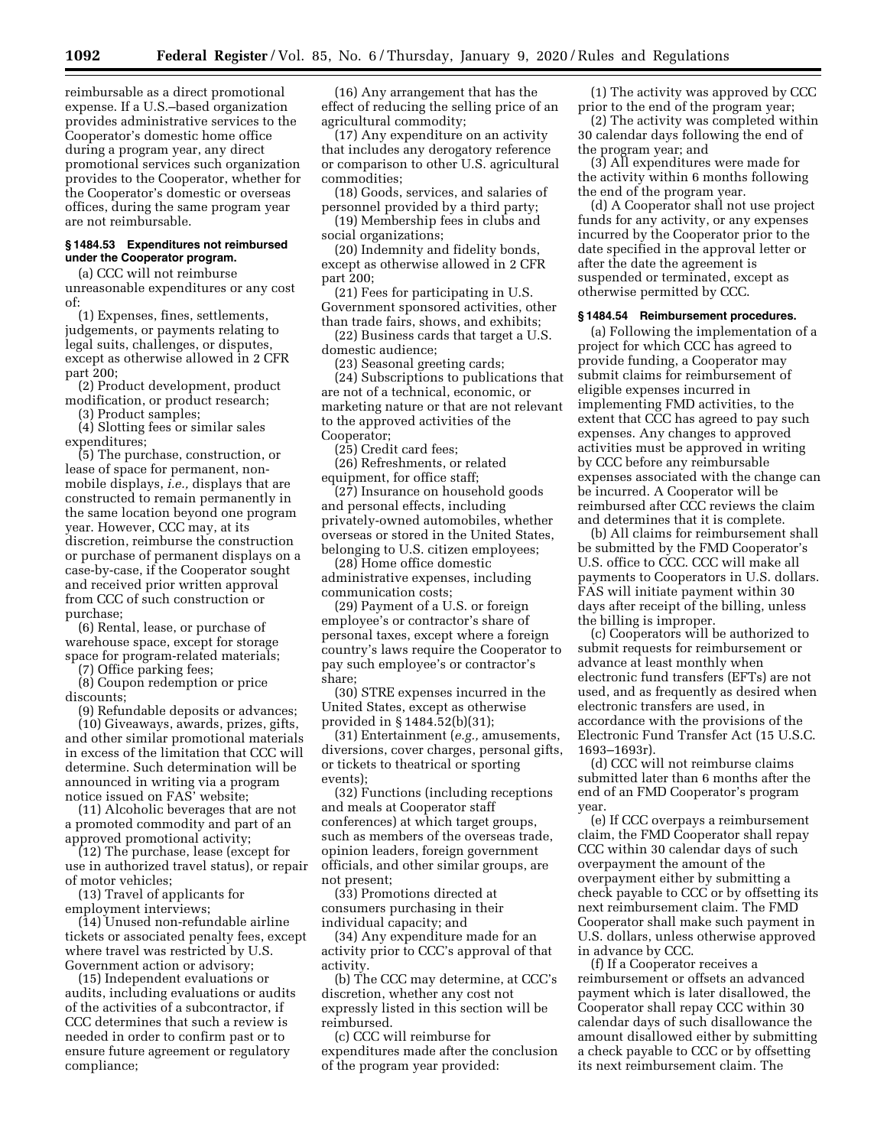reimbursable as a direct promotional expense. If a U.S.–based organization provides administrative services to the Cooperator's domestic home office during a program year, any direct promotional services such organization provides to the Cooperator, whether for the Cooperator's domestic or overseas offices, during the same program year are not reimbursable.

## **§ 1484.53 Expenditures not reimbursed under the Cooperator program.**

(a) CCC will not reimburse unreasonable expenditures or any cost of:

(1) Expenses, fines, settlements, judgements, or payments relating to legal suits, challenges, or disputes, except as otherwise allowed in 2 CFR part 200;

(2) Product development, product modification, or product research;

(3) Product samples;

(4) Slotting fees or similar sales expenditures;

(5) The purchase, construction, or lease of space for permanent, nonmobile displays, *i.e.,* displays that are constructed to remain permanently in the same location beyond one program year. However, CCC may, at its discretion, reimburse the construction or purchase of permanent displays on a case-by-case, if the Cooperator sought and received prior written approval from CCC of such construction or purchase;

(6) Rental, lease, or purchase of warehouse space, except for storage space for program-related materials;

(7) Office parking fees;

(8) Coupon redemption or price

discounts; (9) Refundable deposits or advances;

(10) Giveaways, awards, prizes, gifts, and other similar promotional materials in excess of the limitation that CCC will determine. Such determination will be announced in writing via a program notice issued on FAS' website;

(11) Alcoholic beverages that are not a promoted commodity and part of an approved promotional activity;

(12) The purchase, lease (except for use in authorized travel status), or repair of motor vehicles;

(13) Travel of applicants for employment interviews;

(14) Unused non-refundable airline tickets or associated penalty fees, except where travel was restricted by U.S. Government action or advisory;

(15) Independent evaluations or audits, including evaluations or audits of the activities of a subcontractor, if CCC determines that such a review is needed in order to confirm past or to ensure future agreement or regulatory compliance;

(16) Any arrangement that has the effect of reducing the selling price of an agricultural commodity;

(17) Any expenditure on an activity that includes any derogatory reference or comparison to other U.S. agricultural commodities;

(18) Goods, services, and salaries of personnel provided by a third party;

(19) Membership fees in clubs and social organizations;

(20) Indemnity and fidelity bonds, except as otherwise allowed in 2 CFR part 200;

(21) Fees for participating in U.S. Government sponsored activities, other than trade fairs, shows, and exhibits;

(22) Business cards that target a U.S. domestic audience;

(23) Seasonal greeting cards;

(24) Subscriptions to publications that are not of a technical, economic, or marketing nature or that are not relevant to the approved activities of the Cooperator;

(25) Credit card fees;

(26) Refreshments, or related equipment, for office staff;

(27) Insurance on household goods and personal effects, including privately-owned automobiles, whether overseas or stored in the United States, belonging to U.S. citizen employees;

(28) Home office domestic administrative expenses, including communication costs;

(29) Payment of a U.S. or foreign employee's or contractor's share of personal taxes, except where a foreign country's laws require the Cooperator to pay such employee's or contractor's share;

(30) STRE expenses incurred in the United States, except as otherwise provided in § 1484.52(b)(31);

(31) Entertainment (*e.g.,* amusements, diversions, cover charges, personal gifts, or tickets to theatrical or sporting events);

(32) Functions (including receptions and meals at Cooperator staff conferences) at which target groups, such as members of the overseas trade, opinion leaders, foreign government officials, and other similar groups, are not present;

(33) Promotions directed at consumers purchasing in their individual capacity; and

(34) Any expenditure made for an activity prior to CCC's approval of that activity.

(b) The CCC may determine, at CCC's discretion, whether any cost not expressly listed in this section will be reimbursed.

(c) CCC will reimburse for expenditures made after the conclusion of the program year provided:

(1) The activity was approved by CCC prior to the end of the program year;

(2) The activity was completed within 30 calendar days following the end of the program year; and

(3) All expenditures were made for the activity within 6 months following the end of the program year.

(d) A Cooperator shall not use project funds for any activity, or any expenses incurred by the Cooperator prior to the date specified in the approval letter or after the date the agreement is suspended or terminated, except as otherwise permitted by CCC.

#### **§ 1484.54 Reimbursement procedures.**

(a) Following the implementation of a project for which CCC has agreed to provide funding, a Cooperator may submit claims for reimbursement of eligible expenses incurred in implementing FMD activities, to the extent that CCC has agreed to pay such expenses. Any changes to approved activities must be approved in writing by CCC before any reimbursable expenses associated with the change can be incurred. A Cooperator will be reimbursed after CCC reviews the claim and determines that it is complete.

(b) All claims for reimbursement shall be submitted by the FMD Cooperator's U.S. office to CCC. CCC will make all payments to Cooperators in U.S. dollars. FAS will initiate payment within 30 days after receipt of the billing, unless the billing is improper.

(c) Cooperators will be authorized to submit requests for reimbursement or advance at least monthly when electronic fund transfers (EFTs) are not used, and as frequently as desired when electronic transfers are used, in accordance with the provisions of the Electronic Fund Transfer Act (15 U.S.C. 1693–1693r).

(d) CCC will not reimburse claims submitted later than 6 months after the end of an FMD Cooperator's program year.

(e) If CCC overpays a reimbursement claim, the FMD Cooperator shall repay CCC within 30 calendar days of such overpayment the amount of the overpayment either by submitting a check payable to CCC or by offsetting its next reimbursement claim. The FMD Cooperator shall make such payment in U.S. dollars, unless otherwise approved in advance by CCC.

(f) If a Cooperator receives a reimbursement or offsets an advanced payment which is later disallowed, the Cooperator shall repay CCC within 30 calendar days of such disallowance the amount disallowed either by submitting a check payable to CCC or by offsetting its next reimbursement claim. The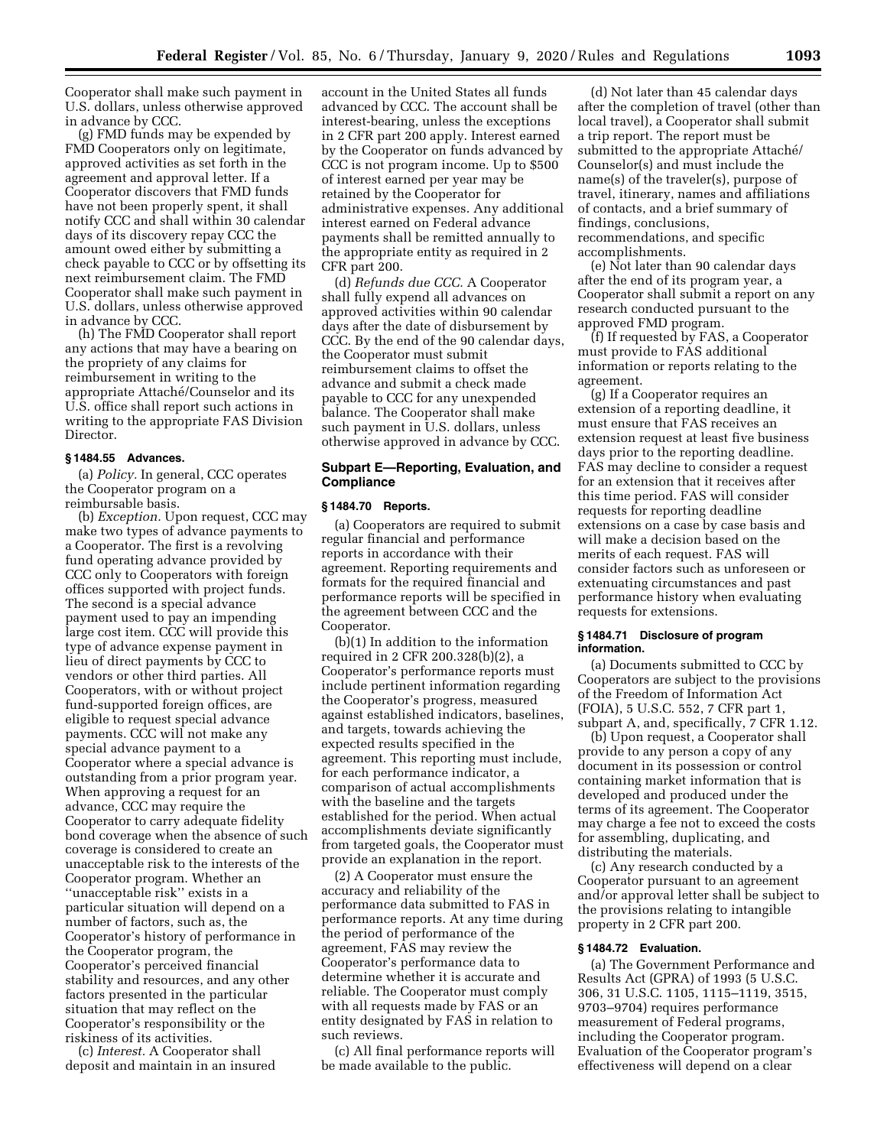Cooperator shall make such payment in U.S. dollars, unless otherwise approved in advance by CCC.

(g) FMD funds may be expended by FMD Cooperators only on legitimate, approved activities as set forth in the agreement and approval letter. If a Cooperator discovers that FMD funds have not been properly spent, it shall notify CCC and shall within 30 calendar days of its discovery repay CCC the amount owed either by submitting a check payable to CCC or by offsetting its next reimbursement claim. The FMD Cooperator shall make such payment in U.S. dollars, unless otherwise approved in advance by CCC.

(h) The FMD Cooperator shall report any actions that may have a bearing on the propriety of any claims for reimbursement in writing to the appropriate Attaché/Counselor and its U.S. office shall report such actions in writing to the appropriate FAS Division Director.

#### **§ 1484.55 Advances.**

(a) *Policy.* In general, CCC operates the Cooperator program on a reimbursable basis.

(b) *Exception.* Upon request, CCC may make two types of advance payments to a Cooperator. The first is a revolving fund operating advance provided by CCC only to Cooperators with foreign offices supported with project funds. The second is a special advance payment used to pay an impending large cost item. CCC will provide this type of advance expense payment in lieu of direct payments by CCC to vendors or other third parties. All Cooperators, with or without project fund-supported foreign offices, are eligible to request special advance payments. CCC will not make any special advance payment to a Cooperator where a special advance is outstanding from a prior program year. When approving a request for an advance, CCC may require the Cooperator to carry adequate fidelity bond coverage when the absence of such coverage is considered to create an unacceptable risk to the interests of the Cooperator program. Whether an ''unacceptable risk'' exists in a particular situation will depend on a number of factors, such as, the Cooperator's history of performance in the Cooperator program, the Cooperator's perceived financial stability and resources, and any other factors presented in the particular situation that may reflect on the Cooperator's responsibility or the riskiness of its activities.

(c) *Interest.* A Cooperator shall deposit and maintain in an insured

account in the United States all funds advanced by CCC. The account shall be interest-bearing, unless the exceptions in 2 CFR part 200 apply. Interest earned by the Cooperator on funds advanced by CCC is not program income. Up to \$500 of interest earned per year may be retained by the Cooperator for administrative expenses. Any additional interest earned on Federal advance payments shall be remitted annually to the appropriate entity as required in 2 CFR part 200.

(d) *Refunds due CCC.* A Cooperator shall fully expend all advances on approved activities within 90 calendar days after the date of disbursement by CCC. By the end of the 90 calendar days, the Cooperator must submit reimbursement claims to offset the advance and submit a check made payable to CCC for any unexpended balance. The Cooperator shall make such payment in U.S. dollars, unless otherwise approved in advance by CCC.

## **Subpart E—Reporting, Evaluation, and Compliance**

#### **§ 1484.70 Reports.**

(a) Cooperators are required to submit regular financial and performance reports in accordance with their agreement. Reporting requirements and formats for the required financial and performance reports will be specified in the agreement between CCC and the Cooperator.

(b)(1) In addition to the information required in 2 CFR 200.328(b)(2), a Cooperator's performance reports must include pertinent information regarding the Cooperator's progress, measured against established indicators, baselines, and targets, towards achieving the expected results specified in the agreement. This reporting must include, for each performance indicator, a comparison of actual accomplishments with the baseline and the targets established for the period. When actual accomplishments deviate significantly from targeted goals, the Cooperator must provide an explanation in the report.

(2) A Cooperator must ensure the accuracy and reliability of the performance data submitted to FAS in performance reports. At any time during the period of performance of the agreement, FAS may review the Cooperator's performance data to determine whether it is accurate and reliable. The Cooperator must comply with all requests made by FAS or an entity designated by FAS in relation to such reviews.

(c) All final performance reports will be made available to the public.

(d) Not later than 45 calendar days after the completion of travel (other than local travel), a Cooperator shall submit a trip report. The report must be submitted to the appropriate Attaché/ Counselor(s) and must include the name(s) of the traveler(s), purpose of travel, itinerary, names and affiliations of contacts, and a brief summary of findings, conclusions, recommendations, and specific accomplishments.

(e) Not later than 90 calendar days after the end of its program year, a Cooperator shall submit a report on any research conducted pursuant to the approved FMD program.

(f) If requested by FAS, a Cooperator must provide to FAS additional information or reports relating to the agreement.

(g) If a Cooperator requires an extension of a reporting deadline, it must ensure that FAS receives an extension request at least five business days prior to the reporting deadline. FAS may decline to consider a request for an extension that it receives after this time period. FAS will consider requests for reporting deadline extensions on a case by case basis and will make a decision based on the merits of each request. FAS will consider factors such as unforeseen or extenuating circumstances and past performance history when evaluating requests for extensions.

## **§ 1484.71 Disclosure of program information.**

(a) Documents submitted to CCC by Cooperators are subject to the provisions of the Freedom of Information Act (FOIA), 5 U.S.C. 552, 7 CFR part 1, subpart A, and, specifically, 7 CFR 1.12.

(b) Upon request, a Cooperator shall provide to any person a copy of any document in its possession or control containing market information that is developed and produced under the terms of its agreement. The Cooperator may charge a fee not to exceed the costs for assembling, duplicating, and distributing the materials.

(c) Any research conducted by a Cooperator pursuant to an agreement and/or approval letter shall be subject to the provisions relating to intangible property in 2 CFR part 200.

## **§ 1484.72 Evaluation.**

(a) The Government Performance and Results Act (GPRA) of 1993 (5 U.S.C. 306, 31 U.S.C. 1105, 1115–1119, 3515, 9703–9704) requires performance measurement of Federal programs, including the Cooperator program. Evaluation of the Cooperator program's effectiveness will depend on a clear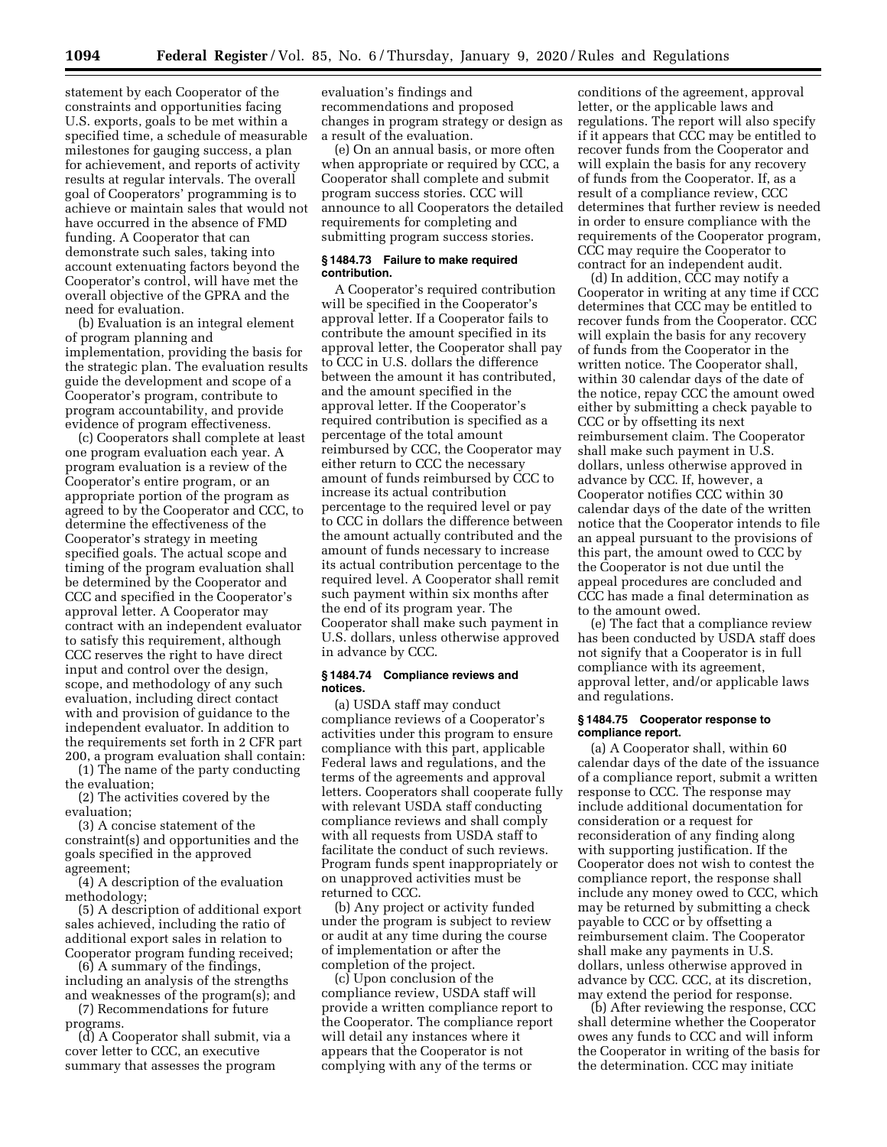statement by each Cooperator of the constraints and opportunities facing U.S. exports, goals to be met within a specified time, a schedule of measurable milestones for gauging success, a plan for achievement, and reports of activity results at regular intervals. The overall goal of Cooperators' programming is to achieve or maintain sales that would not have occurred in the absence of FMD funding. A Cooperator that can demonstrate such sales, taking into account extenuating factors beyond the Cooperator's control, will have met the overall objective of the GPRA and the need for evaluation.

(b) Evaluation is an integral element of program planning and implementation, providing the basis for the strategic plan. The evaluation results guide the development and scope of a Cooperator's program, contribute to program accountability, and provide evidence of program effectiveness.

(c) Cooperators shall complete at least one program evaluation each year. A program evaluation is a review of the Cooperator's entire program, or an appropriate portion of the program as agreed to by the Cooperator and CCC, to determine the effectiveness of the Cooperator's strategy in meeting specified goals. The actual scope and timing of the program evaluation shall be determined by the Cooperator and CCC and specified in the Cooperator's approval letter. A Cooperator may contract with an independent evaluator to satisfy this requirement, although CCC reserves the right to have direct input and control over the design, scope, and methodology of any such evaluation, including direct contact with and provision of guidance to the independent evaluator. In addition to the requirements set forth in 2 CFR part 200, a program evaluation shall contain:

(1) The name of the party conducting the evaluation;

(2) The activities covered by the evaluation;

(3) A concise statement of the constraint(s) and opportunities and the goals specified in the approved agreement;

(4) A description of the evaluation methodology;

(5) A description of additional export sales achieved, including the ratio of additional export sales in relation to Cooperator program funding received;

(6) A summary of the findings, including an analysis of the strengths and weaknesses of the program(s); and

(7) Recommendations for future programs.

(d) A Cooperator shall submit, via a cover letter to CCC, an executive summary that assesses the program

evaluation's findings and recommendations and proposed changes in program strategy or design as a result of the evaluation.

(e) On an annual basis, or more often when appropriate or required by CCC, a Cooperator shall complete and submit program success stories. CCC will announce to all Cooperators the detailed requirements for completing and submitting program success stories.

## **§ 1484.73 Failure to make required contribution.**

A Cooperator's required contribution will be specified in the Cooperator's approval letter. If a Cooperator fails to contribute the amount specified in its approval letter, the Cooperator shall pay to CCC in U.S. dollars the difference between the amount it has contributed, and the amount specified in the approval letter. If the Cooperator's required contribution is specified as a percentage of the total amount reimbursed by CCC, the Cooperator may either return to CCC the necessary amount of funds reimbursed by CCC to increase its actual contribution percentage to the required level or pay to CCC in dollars the difference between the amount actually contributed and the amount of funds necessary to increase its actual contribution percentage to the required level. A Cooperator shall remit such payment within six months after the end of its program year. The Cooperator shall make such payment in U.S. dollars, unless otherwise approved in advance by CCC.

#### **§ 1484.74 Compliance reviews and notices.**

(a) USDA staff may conduct compliance reviews of a Cooperator's activities under this program to ensure compliance with this part, applicable Federal laws and regulations, and the terms of the agreements and approval letters. Cooperators shall cooperate fully with relevant USDA staff conducting compliance reviews and shall comply with all requests from USDA staff to facilitate the conduct of such reviews. Program funds spent inappropriately or on unapproved activities must be returned to CCC.

(b) Any project or activity funded under the program is subject to review or audit at any time during the course of implementation or after the completion of the project.

(c) Upon conclusion of the compliance review, USDA staff will provide a written compliance report to the Cooperator. The compliance report will detail any instances where it appears that the Cooperator is not complying with any of the terms or

conditions of the agreement, approval letter, or the applicable laws and regulations. The report will also specify if it appears that CCC may be entitled to recover funds from the Cooperator and will explain the basis for any recovery of funds from the Cooperator. If, as a result of a compliance review, CCC determines that further review is needed in order to ensure compliance with the requirements of the Cooperator program, CCC may require the Cooperator to contract for an independent audit.

(d) In addition, CCC may notify a Cooperator in writing at any time if CCC determines that CCC may be entitled to recover funds from the Cooperator. CCC will explain the basis for any recovery of funds from the Cooperator in the written notice. The Cooperator shall, within 30 calendar days of the date of the notice, repay CCC the amount owed either by submitting a check payable to CCC or by offsetting its next reimbursement claim. The Cooperator shall make such payment in U.S. dollars, unless otherwise approved in advance by CCC. If, however, a Cooperator notifies CCC within 30 calendar days of the date of the written notice that the Cooperator intends to file an appeal pursuant to the provisions of this part, the amount owed to CCC by the Cooperator is not due until the appeal procedures are concluded and CCC has made a final determination as to the amount owed.

(e) The fact that a compliance review has been conducted by USDA staff does not signify that a Cooperator is in full compliance with its agreement, approval letter, and/or applicable laws and regulations.

## **§ 1484.75 Cooperator response to compliance report.**

(a) A Cooperator shall, within 60 calendar days of the date of the issuance of a compliance report, submit a written response to CCC. The response may include additional documentation for consideration or a request for reconsideration of any finding along with supporting justification. If the Cooperator does not wish to contest the compliance report, the response shall include any money owed to CCC, which may be returned by submitting a check payable to CCC or by offsetting a reimbursement claim. The Cooperator shall make any payments in U.S. dollars, unless otherwise approved in advance by CCC. CCC, at its discretion, may extend the period for response.

(b) After reviewing the response, CCC shall determine whether the Cooperator owes any funds to CCC and will inform the Cooperator in writing of the basis for the determination. CCC may initiate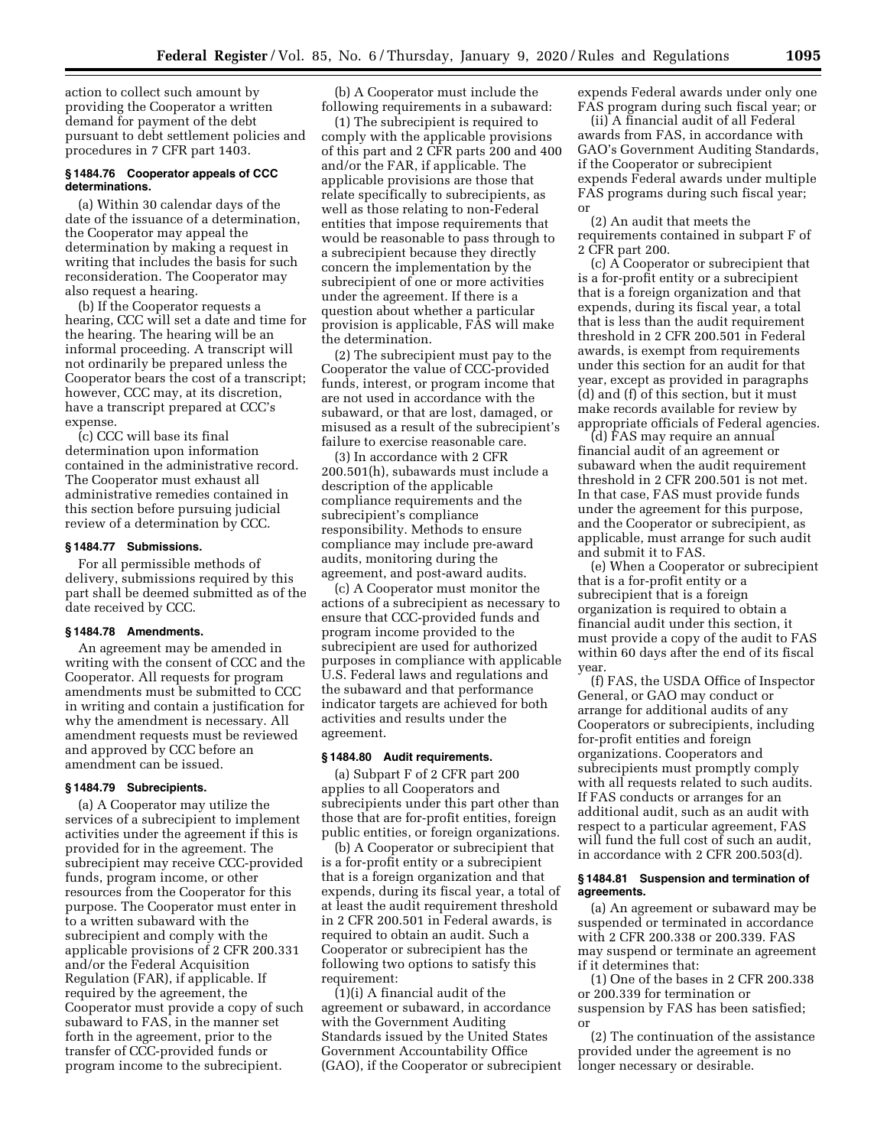action to collect such amount by providing the Cooperator a written demand for payment of the debt pursuant to debt settlement policies and procedures in 7 CFR part 1403.

#### **§ 1484.76 Cooperator appeals of CCC determinations.**

(a) Within 30 calendar days of the date of the issuance of a determination, the Cooperator may appeal the determination by making a request in writing that includes the basis for such reconsideration. The Cooperator may also request a hearing.

(b) If the Cooperator requests a hearing, CCC will set a date and time for the hearing. The hearing will be an informal proceeding. A transcript will not ordinarily be prepared unless the Cooperator bears the cost of a transcript; however, CCC may, at its discretion, have a transcript prepared at CCC's expense.

(c) CCC will base its final determination upon information contained in the administrative record. The Cooperator must exhaust all administrative remedies contained in this section before pursuing judicial review of a determination by CCC.

## **§ 1484.77 Submissions.**

For all permissible methods of delivery, submissions required by this part shall be deemed submitted as of the date received by CCC.

#### **§ 1484.78 Amendments.**

An agreement may be amended in writing with the consent of CCC and the Cooperator. All requests for program amendments must be submitted to CCC in writing and contain a justification for why the amendment is necessary. All amendment requests must be reviewed and approved by CCC before an amendment can be issued.

## **§ 1484.79 Subrecipients.**

(a) A Cooperator may utilize the services of a subrecipient to implement activities under the agreement if this is provided for in the agreement. The subrecipient may receive CCC-provided funds, program income, or other resources from the Cooperator for this purpose. The Cooperator must enter in to a written subaward with the subrecipient and comply with the applicable provisions of 2 CFR 200.331 and/or the Federal Acquisition Regulation (FAR), if applicable. If required by the agreement, the Cooperator must provide a copy of such subaward to FAS, in the manner set forth in the agreement, prior to the transfer of CCC-provided funds or program income to the subrecipient.

(b) A Cooperator must include the following requirements in a subaward:

(1) The subrecipient is required to comply with the applicable provisions of this part and 2 CFR parts 200 and 400 and/or the FAR, if applicable. The applicable provisions are those that relate specifically to subrecipients, as well as those relating to non-Federal entities that impose requirements that would be reasonable to pass through to a subrecipient because they directly concern the implementation by the subrecipient of one or more activities under the agreement. If there is a question about whether a particular provision is applicable, FAS will make the determination.

(2) The subrecipient must pay to the Cooperator the value of CCC-provided funds, interest, or program income that are not used in accordance with the subaward, or that are lost, damaged, or misused as a result of the subrecipient's failure to exercise reasonable care.

(3) In accordance with 2 CFR 200.501(h), subawards must include a description of the applicable compliance requirements and the subrecipient's compliance responsibility. Methods to ensure compliance may include pre-award audits, monitoring during the agreement, and post-award audits.

(c) A Cooperator must monitor the actions of a subrecipient as necessary to ensure that CCC-provided funds and program income provided to the subrecipient are used for authorized purposes in compliance with applicable U.S. Federal laws and regulations and the subaward and that performance indicator targets are achieved for both activities and results under the agreement.

#### **§ 1484.80 Audit requirements.**

(a) Subpart F of 2 CFR part 200 applies to all Cooperators and subrecipients under this part other than those that are for-profit entities, foreign public entities, or foreign organizations.

(b) A Cooperator or subrecipient that is a for-profit entity or a subrecipient that is a foreign organization and that expends, during its fiscal year, a total of at least the audit requirement threshold in 2 CFR 200.501 in Federal awards, is required to obtain an audit. Such a Cooperator or subrecipient has the following two options to satisfy this requirement:

(1)(i) A financial audit of the agreement or subaward, in accordance with the Government Auditing Standards issued by the United States Government Accountability Office (GAO), if the Cooperator or subrecipient expends Federal awards under only one FAS program during such fiscal year; or

(ii) A financial audit of all Federal awards from FAS, in accordance with GAO's Government Auditing Standards, if the Cooperator or subrecipient expends Federal awards under multiple FAS programs during such fiscal year; or

(2) An audit that meets the requirements contained in subpart F of 2 CFR part 200.

(c) A Cooperator or subrecipient that is a for-profit entity or a subrecipient that is a foreign organization and that expends, during its fiscal year, a total that is less than the audit requirement threshold in 2 CFR 200.501 in Federal awards, is exempt from requirements under this section for an audit for that year, except as provided in paragraphs (d) and (f) of this section, but it must make records available for review by appropriate officials of Federal agencies.

(d) FAS may require an annual financial audit of an agreement or subaward when the audit requirement threshold in 2 CFR 200.501 is not met. In that case, FAS must provide funds under the agreement for this purpose, and the Cooperator or subrecipient, as applicable, must arrange for such audit and submit it to FAS.

(e) When a Cooperator or subrecipient that is a for-profit entity or a subrecipient that is a foreign organization is required to obtain a financial audit under this section, it must provide a copy of the audit to FAS within 60 days after the end of its fiscal year.

(f) FAS, the USDA Office of Inspector General, or GAO may conduct or arrange for additional audits of any Cooperators or subrecipients, including for-profit entities and foreign organizations. Cooperators and subrecipients must promptly comply with all requests related to such audits. If FAS conducts or arranges for an additional audit, such as an audit with respect to a particular agreement, FAS will fund the full cost of such an audit, in accordance with 2 CFR 200.503(d).

## **§ 1484.81 Suspension and termination of agreements.**

(a) An agreement or subaward may be suspended or terminated in accordance with 2 CFR 200.338 or 200.339. FAS may suspend or terminate an agreement if it determines that:

(1) One of the bases in 2 CFR 200.338 or 200.339 for termination or suspension by FAS has been satisfied; or

(2) The continuation of the assistance provided under the agreement is no longer necessary or desirable.